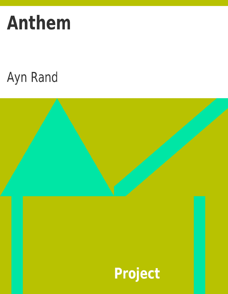# **Anthem**

## Ayn Rand

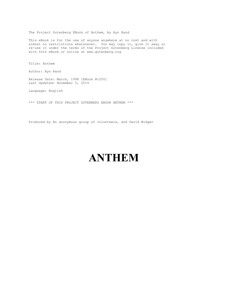The Project Gutenberg EBook of Anthem, by Ayn Rand

This eBook is for the use of anyone anywhere at no cost and with almost no restrictions whatsoever. You may copy it, give it away or re-use it under the terms of the Project Gutenberg License included with this eBook or online at www.gutenberg.org

Title: Anthem

Author: Ayn Rand

Release Date: March, 1998 [EBook #1250] Last Updated: November 5, 2019

Language: English

\*\*\* START OF THIS PROJECT GUTENBERG EBOOK ANTHEM \*\*\*

Produced by An anonymous group of volunteers, and David Widger

### **ANTHEM**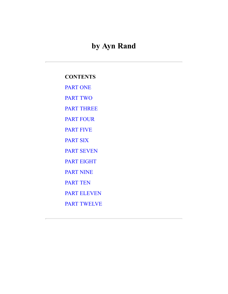#### **by Ayn Rand**

#### **CONTENTS**

[PART ONE](#page-2-0)

[PART TWO](#page-13-0)

[PART THREE](#page-21-0)

[PART FOUR](#page-23-0)

[PART FIVE](#page-25-0)

[PART SIX](#page-27-0)

[PART SEVEN](#page-30-0)

[PART EIGHT](#page-35-0)

[PART NINE](#page-37-0)

[PART TEN](#page-41-0)

[PART ELEVEN](#page-45-0)

<span id="page-2-0"></span>[PART TWELVE](#page-48-0)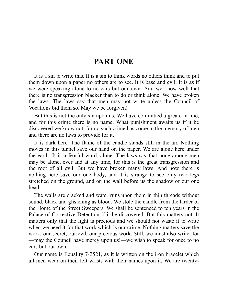#### **PART ONE**

It is a sin to write this. It is a sin to think words no others think and to put them down upon a paper no others are to see. It is base and evil. It is as if we were speaking alone to no ears but our own. And we know well that there is no transgression blacker than to do or think alone. We have broken the laws. The laws say that men may not write unless the Council of Vocations bid them so. May we be forgiven!

But this is not the only sin upon us. We have committed a greater crime, and for this crime there is no name. What punishment awaits us if it be discovered we know not, for no such crime has come in the memory of men and there are no laws to provide for it.

It is dark here. The flame of the candle stands still in the air. Nothing moves in this tunnel save our hand on the paper. We are alone here under the earth. It is a fearful word, alone. The laws say that none among men may be alone, ever and at any time, for this is the great transgression and the root of all evil. But we have broken many laws. And now there is nothing here save our one body, and it is strange to see only two legs stretched on the ground, and on the wall before us the shadow of our one head.

The walls are cracked and water runs upon them in thin threads without sound, black and glistening as blood. We stole the candle from the larder of the Home of the Street Sweepers. We shall be sentenced to ten years in the Palace of Corrective Detention if it be discovered. But this matters not. It matters only that the light is precious and we should not waste it to write when we need it for that work which is our crime. Nothing matters save the work, our secret, our evil, our precious work. Still, we must also write, for —may the Council have mercy upon us!—we wish to speak for once to no ears but our own.

Our name is Equality 7-2521, as it is written on the iron bracelet which all men wear on their left wrists with their names upon it. We are twenty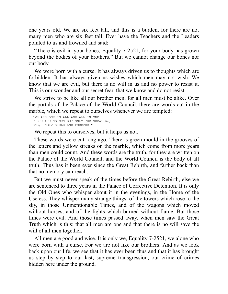one years old. We are six feet tall, and this is a burden, for there are not many men who are six feet tall. Ever have the Teachers and the Leaders pointed to us and frowned and said:

"There is evil in your bones, Equality 7-2521, for your body has grown beyond the bodies of your brothers." But we cannot change our bones nor our body.

We were born with a curse. It has always driven us to thoughts which are forbidden. It has always given us wishes which men may not wish. We know that we are evil, but there is no will in us and no power to resist it. This is our wonder and our secret fear, that we know and do not resist.

We strive to be like all our brother men, for all men must be alike. Over the portals of the Palace of the World Council, there are words cut in the marble, which we repeat to ourselves whenever we are tempted:

 "WE ARE ONE IN ALL AND ALL IN ONE. THERE ARE NO MEN BUT ONLY THE GREAT *WE*, ONE, INDIVISIBLE AND FOREVER."

We repeat this to ourselves, but it helps us not.

These words were cut long ago. There is green mould in the grooves of the letters and yellow streaks on the marble, which come from more years than men could count. And these words are the truth, for they are written on the Palace of the World Council, and the World Council is the body of all truth. Thus has it been ever since the Great Rebirth, and farther back than that no memory can reach.

But we must never speak of the times before the Great Rebirth, else we are sentenced to three years in the Palace of Corrective Detention. It is only the Old Ones who whisper about it in the evenings, in the Home of the Useless. They whisper many strange things, of the towers which rose to the sky, in those Unmentionable Times, and of the wagons which moved without horses, and of the lights which burned without flame. But those times were evil. And those times passed away, when men saw the Great Truth which is this: that all men are one and that there is no will save the will of all men together.

All men are good and wise. It is only we, Equality 7-2521, we alone who were born with a curse. For we are not like our brothers. And as we look back upon our life, we see that it has ever been thus and that it has brought us step by step to our last, supreme transgression, our crime of crimes hidden here under the ground.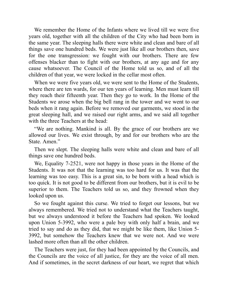We remember the Home of the Infants where we lived till we were five years old, together with all the children of the City who had been born in the same year. The sleeping halls there were white and clean and bare of all things save one hundred beds. We were just like all our brothers then, save for the one transgression: we fought with our brothers. There are few offenses blacker than to fight with our brothers, at any age and for any cause whatsoever. The Council of the Home told us so, and of all the children of that year, we were locked in the cellar most often.

When we were five years old, we were sent to the Home of the Students, where there are ten wards, for our ten years of learning. Men must learn till they reach their fifteenth year. Then they go to work. In the Home of the Students we arose when the big bell rang in the tower and we went to our beds when it rang again. Before we removed our garments, we stood in the great sleeping hall, and we raised our right arms, and we said all together with the three Teachers at the head:

"We are nothing. Mankind is all. By the grace of our brothers are we allowed our lives. We exist through, by and for our brothers who are the State. Amen."

Then we slept. The sleeping halls were white and clean and bare of all things save one hundred beds.

We, Equality 7-2521, were not happy in those years in the Home of the Students. It was not that the learning was too hard for us. It was that the learning was too easy. This is a great sin, to be born with a head which is too quick. It is not good to be different from our brothers, but it is evil to be superior to them. The Teachers told us so, and they frowned when they looked upon us.

So we fought against this curse. We tried to forget our lessons, but we always remembered. We tried not to understand what the Teachers taught, but we always understood it before the Teachers had spoken. We looked upon Union 5-3992, who were a pale boy with only half a brain, and we tried to say and do as they did, that we might be like them, like Union 5- 3992, but somehow the Teachers knew that we were not. And we were lashed more often than all the other children.

The Teachers were just, for they had been appointed by the Councils, and the Councils are the voice of all justice, for they are the voice of all men. And if sometimes, in the secret darkness of our heart, we regret that which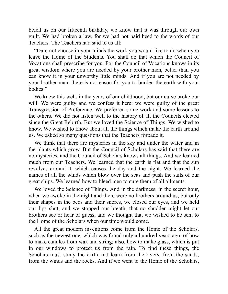befell us on our fifteenth birthday, we know that it was through our own guilt. We had broken a law, for we had not paid heed to the words of our Teachers. The Teachers had said to us all:

"Dare not choose in your minds the work you would like to do when you leave the Home of the Students. You shall do that which the Council of Vocations shall prescribe for you. For the Council of Vocations knows in its great wisdom where you are needed by your brother men, better than you can know it in your unworthy little minds. And if you are not needed by your brother man, there is no reason for you to burden the earth with your bodies."

We knew this well, in the years of our childhood, but our curse broke our will. We were guilty and we confess it here: we were guilty of the great Transgression of Preference. We preferred some work and some lessons to the others. We did not listen well to the history of all the Councils elected since the Great Rebirth. But we loved the Science of Things. We wished to know. We wished to know about all the things which make the earth around us. We asked so many questions that the Teachers forbade it.

We think that there are mysteries in the sky and under the water and in the plants which grow. But the Council of Scholars has said that there are no mysteries, and the Council of Scholars knows all things. And we learned much from our Teachers. We learned that the earth is flat and that the sun revolves around it, which causes the day and the night. We learned the names of all the winds which blow over the seas and push the sails of our great ships. We learned how to bleed men to cure them of all ailments.

We loved the Science of Things. And in the darkness, in the secret hour, when we awoke in the night and there were no brothers around us, but only their shapes in the beds and their snores, we closed our eyes, and we held our lips shut, and we stopped our breath, that no shudder might let our brothers see or hear or guess, and we thought that we wished to be sent to the Home of the Scholars when our time would come.

All the great modern inventions come from the Home of the Scholars, such as the newest one, which was found only a hundred years ago, of how to make candles from wax and string; also, how to make glass, which is put in our windows to protect us from the rain. To find these things, the Scholars must study the earth and learn from the rivers, from the sands, from the winds and the rocks. And if we went to the Home of the Scholars,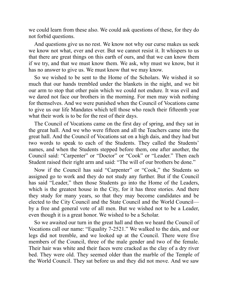we could learn from these also. We could ask questions of these, for they do not forbid questions.

And questions give us no rest. We know not why our curse makes us seek we know not what, ever and ever. But we cannot resist it. It whispers to us that there are great things on this earth of ours, and that we can know them if we try, and that we must know them. We ask, why must we know, but it has no answer to give us. We must know that we may know.

So we wished to be sent to the Home of the Scholars. We wished it so much that our hands trembled under the blankets in the night, and we bit our arm to stop that other pain which we could not endure. It was evil and we dared not face our brothers in the morning. For men may wish nothing for themselves. And we were punished when the Council of Vocations came to give us our life Mandates which tell those who reach their fifteenth year what their work is to be for the rest of their days.

The Council of Vocations came on the first day of spring, and they sat in the great hall. And we who were fifteen and all the Teachers came into the great hall. And the Council of Vocations sat on a high dais, and they had but two words to speak to each of the Students. They called the Students' names, and when the Students stepped before them, one after another, the Council said: "Carpenter" or "Doctor" or "Cook" or "Leader." Then each Student raised their right arm and said: "The will of our brothers be done."

Now if the Council has said "Carpenter" or "Cook," the Students so assigned go to work and they do not study any further. But if the Council has said "Leader," then those Students go into the Home of the Leaders, which is the greatest house in the City, for it has three stories. And there they study for many years, so that they may become candidates and be elected to the City Council and the State Council and the World Council by a free and general vote of all men. But we wished not to be a Leader, even though it is a great honor. We wished to be a Scholar.

So we awaited our turn in the great hall and then we heard the Council of Vocations call our name: "Equality 7-2521." We walked to the dais, and our legs did not tremble, and we looked up at the Council. There were five members of the Council, three of the male gender and two of the female. Their hair was white and their faces were cracked as the clay of a dry river bed. They were old. They seemed older than the marble of the Temple of the World Council. They sat before us and they did not move. And we saw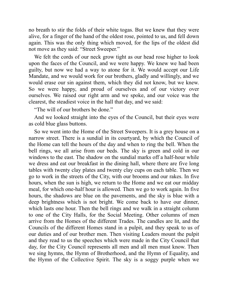no breath to stir the folds of their white togas. But we knew that they were alive, for a finger of the hand of the oldest rose, pointed to us, and fell down again. This was the only thing which moved, for the lips of the oldest did not move as they said: "Street Sweeper."

We felt the cords of our neck grow tight as our head rose higher to look upon the faces of the Council, and we were happy. We knew we had been guilty, but now we had a way to atone for it. We would accept our Life Mandate, and we would work for our brothers, gladly and willingly, and we would erase our sin against them, which they did not know, but we knew. So we were happy, and proud of ourselves and of our victory over ourselves. We raised our right arm and we spoke, and our voice was the clearest, the steadiest voice in the hall that day, and we said:

"The will of our brothers be done."

And we looked straight into the eyes of the Council, but their eyes were as cold blue glass buttons.

So we went into the Home of the Street Sweepers. It is a grey house on a narrow street. There is a sundial in its courtyard, by which the Council of the Home can tell the hours of the day and when to ring the bell. When the bell rings, we all arise from our beds. The sky is green and cold in our windows to the east. The shadow on the sundial marks off a half-hour while we dress and eat our breakfast in the dining hall, where there are five long tables with twenty clay plates and twenty clay cups on each table. Then we go to work in the streets of the City, with our brooms and our rakes. In five hours, when the sun is high, we return to the Home and we eat our midday meal, for which one-half hour is allowed. Then we go to work again. In five hours, the shadows are blue on the pavements, and the sky is blue with a deep brightness which is not bright. We come back to have our dinner, which lasts one hour. Then the bell rings and we walk in a straight column to one of the City Halls, for the Social Meeting. Other columns of men arrive from the Homes of the different Trades. The candles are lit, and the Councils of the different Homes stand in a pulpit, and they speak to us of our duties and of our brother men. Then visiting Leaders mount the pulpit and they read to us the speeches which were made in the City Council that day, for the City Council represents all men and all men must know. Then we sing hymns, the Hymn of Brotherhood, and the Hymn of Equality, and the Hymn of the Collective Spirit. The sky is a soggy purple when we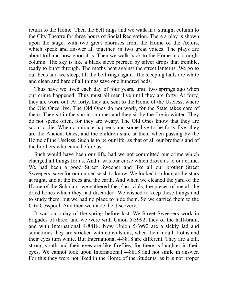return to the Home. Then the bell rings and we walk in a straight column to the City Theatre for three hours of Social Recreation. There a play is shown upon the stage, with two great choruses from the Home of the Actors, which speak and answer all together, in two great voices. The plays are about toil and how good it is. Then we walk back to the Home in a straight column. The sky is like a black sieve pierced by silver drops that tremble, ready to burst through. The moths beat against the street lanterns. We go to our beds and we sleep, till the bell rings again. The sleeping halls are white and clean and bare of all things save one hundred beds.

Thus have we lived each day of four years, until two springs ago when our crime happened. Thus must all men live until they are forty. At forty, they are worn out. At forty, they are sent to the Home of the Useless, where the Old Ones live. The Old Ones do not work, for the State takes care of them. They sit in the sun in summer and they sit by the fire in winter. They do not speak often, for they are weary. The Old Ones know that they are soon to die. When a miracle happens and some live to be forty-five, they are the Ancient Ones, and the children stare at them when passing by the Home of the Useless. Such is to be our life, as that of all our brothers and of the brothers who came before us.

Such would have been our life, had we not committed our crime which changed all things for us. And it was our curse which drove us to our crime. We had been a good Street Sweeper and like all our brother Street Sweepers, save for our cursed wish to know. We looked too long at the stars at night, and at the trees and the earth. And when we cleaned the yard of the Home of the Scholars, we gathered the glass vials, the pieces of metal, the dried bones which they had discarded. We wished to keep these things and to study them, but we had no place to hide them. So we carried them to the City Cesspool. And then we made the discovery.

It was on a day of the spring before last. We Street Sweepers work in brigades of three, and we were with Union 5-3992, they of the half-brain, and with International 4-8818. Now Union 5-3992 are a sickly lad and sometimes they are stricken with convulsions, when their mouth froths and their eyes turn white. But International 4-8818 are different. They are a tall, strong youth and their eyes are like fireflies, for there is laughter in their eyes. We cannot look upon International 4-8818 and not smile in answer. For this they were not liked in the Home of the Students, as it is not proper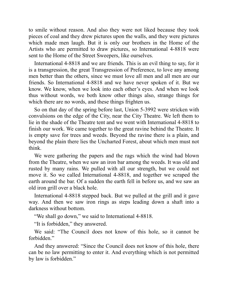to smile without reason. And also they were not liked because they took pieces of coal and they drew pictures upon the walls, and they were pictures which made men laugh. But it is only our brothers in the Home of the Artists who are permitted to draw pictures, so International 4-8818 were sent to the Home of the Street Sweepers, like ourselves.

International 4-8818 and we are friends. This is an evil thing to say, for it is a transgression, the great Transgression of Preference, to love any among men better than the others, since we must love all men and all men are our friends. So International 4-8818 and we have never spoken of it. But we know. We know, when we look into each other's eyes. And when we look thus without words, we both know other things also, strange things for which there are no words, and these things frighten us.

So on that day of the spring before last, Union 5-3992 were stricken with convulsions on the edge of the City, near the City Theatre. We left them to lie in the shade of the Theatre tent and we went with International 4-8818 to finish our work. We came together to the great ravine behind the Theatre. It is empty save for trees and weeds. Beyond the ravine there is a plain, and beyond the plain there lies the Uncharted Forest, about which men must not think.

We were gathering the papers and the rags which the wind had blown from the Theatre, when we saw an iron bar among the weeds. It was old and rusted by many rains. We pulled with all our strength, but we could not move it. So we called International 4-8818, and together we scraped the earth around the bar. Of a sudden the earth fell in before us, and we saw an old iron grill over a black hole.

International 4-8818 stepped back. But we pulled at the grill and it gave way. And then we saw iron rings as steps leading down a shaft into a darkness without bottom.

"We shall go down," we said to International 4-8818.

"It is forbidden," they answered.

We said: "The Council does not know of this hole, so it cannot be forbidden."

And they answered: "Since the Council does not know of this hole, there can be no law permitting to enter it. And everything which is not permitted by law is forbidden."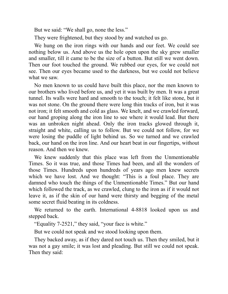But we said: "We shall go, none the less."

They were frightened, but they stood by and watched us go.

We hung on the iron rings with our hands and our feet. We could see nothing below us. And above us the hole open upon the sky grew smaller and smaller, till it came to be the size of a button. But still we went down. Then our foot touched the ground. We rubbed our eyes, for we could not see. Then our eyes became used to the darkness, but we could not believe what we saw.

No men known to us could have built this place, nor the men known to our brothers who lived before us, and yet it was built by men. It was a great tunnel. Its walls were hard and smooth to the touch; it felt like stone, but it was not stone. On the ground there were long thin tracks of iron, but it was not iron; it felt smooth and cold as glass. We knelt, and we crawled forward, our hand groping along the iron line to see where it would lead. But there was an unbroken night ahead. Only the iron tracks glowed through it, straight and white, calling us to follow. But we could not follow, for we were losing the puddle of light behind us. So we turned and we crawled back, our hand on the iron line. And our heart beat in our fingertips, without reason. And then we knew.

We knew suddenly that this place was left from the Unmentionable Times. So it was true, and those Times had been, and all the wonders of those Times. Hundreds upon hundreds of years ago men knew secrets which we have lost. And we thought: "This is a foul place. They are damned who touch the things of the Unmentionable Times." But our hand which followed the track, as we crawled, clung to the iron as if it would not leave it, as if the skin of our hand were thirsty and begging of the metal some secret fluid beating in its coldness.

We returned to the earth. International 4-8818 looked upon us and stepped back.

"Equality 7-2521," they said, "your face is white."

But we could not speak and we stood looking upon them.

They backed away, as if they dared not touch us. Then they smiled, but it was not a gay smile; it was lost and pleading. But still we could not speak. Then they said: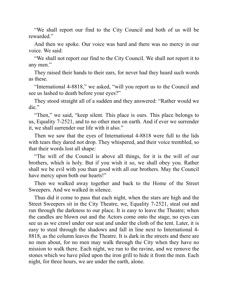"We shall report our find to the City Council and both of us will be rewarded."

And then we spoke. Our voice was hard and there was no mercy in our voice. We said:

"We shall not report our find to the City Council. We shall not report it to any men."

They raised their hands to their ears, for never had they heard such words as these.

"International 4-8818," we asked, "will you report us to the Council and see us lashed to death before your eyes?"

They stood straight all of a sudden and they answered: "Rather would we die."

"Then," we said, "keep silent. This place is ours. This place belongs to us, Equality 7-2521, and to no other men on earth. And if ever we surrender it, we shall surrender our life with it also."

Then we saw that the eyes of International 4-8818 were full to the lids with tears they dared not drop. They whispered, and their voice trembled, so that their words lost all shape:

"The will of the Council is above all things, for it is the will of our brothers, which is holy. But if you wish it so, we shall obey you. Rather shall we be evil with you than good with all our brothers. May the Council have mercy upon both our hearts!"

Then we walked away together and back to the Home of the Street Sweepers. And we walked in silence.

Thus did it come to pass that each night, when the stars are high and the Street Sweepers sit in the City Theatre, we, Equality 7-2521, steal out and run through the darkness to our place. It is easy to leave the Theatre; when the candles are blown out and the Actors come onto the stage, no eyes can see us as we crawl under our seat and under the cloth of the tent. Later, it is easy to steal through the shadows and fall in line next to International 4- 8818, as the column leaves the Theatre. It is dark in the streets and there are no men about, for no men may walk through the City when they have no mission to walk there. Each night, we run to the ravine, and we remove the stones which we have piled upon the iron grill to hide it from the men. Each night, for three hours, we are under the earth, alone.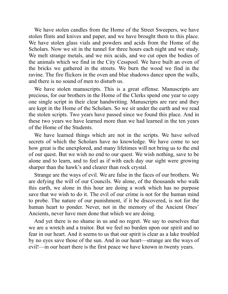We have stolen candles from the Home of the Street Sweepers, we have stolen flints and knives and paper, and we have brought them to this place. We have stolen glass vials and powders and acids from the Home of the Scholars. Now we sit in the tunnel for three hours each night and we study. We melt strange metals, and we mix acids, and we cut open the bodies of the animals which we find in the City Cesspool. We have built an oven of the bricks we gathered in the streets. We burn the wood we find in the ravine. The fire flickers in the oven and blue shadows dance upon the walls, and there is no sound of men to disturb us.

We have stolen manuscripts. This is a great offense. Manuscripts are precious, for our brothers in the Home of the Clerks spend one year to copy one single script in their clear handwriting. Manuscripts are rare and they are kept in the Home of the Scholars. So we sit under the earth and we read the stolen scripts. Two years have passed since we found this place. And in these two years we have learned more than we had learned in the ten years of the Home of the Students.

We have learned things which are not in the scripts. We have solved secrets of which the Scholars have no knowledge. We have come to see how great is the unexplored, and many lifetimes will not bring us to the end of our quest. But we wish no end to our quest. We wish nothing, save to be alone and to learn, and to feel as if with each day our sight were growing sharper than the hawk's and clearer than rock crystal.

Strange are the ways of evil. We are false in the faces of our brothers. We are defying the will of our Councils. We alone, of the thousands who walk this earth, we alone in this hour are doing a work which has no purpose save that we wish to do it. The evil of our crime is not for the human mind to probe. The nature of our punishment, if it be discovered, is not for the human heart to ponder. Never, not in the memory of the Ancient Ones' Ancients, never have men done that which we are doing.

<span id="page-13-0"></span>And yet there is no shame in us and no regret. We say to ourselves that we are a wretch and a traitor. But we feel no burden upon our spirit and no fear in our heart. And it seems to us that our spirit is clear as a lake troubled by no eyes save those of the sun. And in our heart—strange are the ways of evil!—in our heart there is the first peace we have known in twenty years.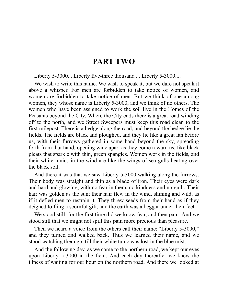#### **PART TWO**

Liberty 5-3000... Liberty five-three thousand ... Liberty 5-3000....

We wish to write this name. We wish to speak it, but we dare not speak it above a whisper. For men are forbidden to take notice of women, and women are forbidden to take notice of men. But we think of one among women, they whose name is Liberty 5-3000, and we think of no others. The women who have been assigned to work the soil live in the Homes of the Peasants beyond the City. Where the City ends there is a great road winding off to the north, and we Street Sweepers must keep this road clean to the first milepost. There is a hedge along the road, and beyond the hedge lie the fields. The fields are black and ploughed, and they lie like a great fan before us, with their furrows gathered in some hand beyond the sky, spreading forth from that hand, opening wide apart as they come toward us, like black pleats that sparkle with thin, green spangles. Women work in the fields, and their white tunics in the wind are like the wings of sea-gulls beating over the black soil.

And there it was that we saw Liberty 5-3000 walking along the furrows. Their body was straight and thin as a blade of iron. Their eyes were dark and hard and glowing, with no fear in them, no kindness and no guilt. Their hair was golden as the sun; their hair flew in the wind, shining and wild, as if it defied men to restrain it. They threw seeds from their hand as if they deigned to fling a scornful gift, and the earth was a beggar under their feet.

We stood still; for the first time did we know fear, and then pain. And we stood still that we might not spill this pain more precious than pleasure.

Then we heard a voice from the others call their name: "Liberty 5-3000," and they turned and walked back. Thus we learned their name, and we stood watching them go, till their white tunic was lost in the blue mist.

And the following day, as we came to the northern road, we kept our eyes upon Liberty 5-3000 in the field. And each day thereafter we knew the illness of waiting for our hour on the northern road. And there we looked at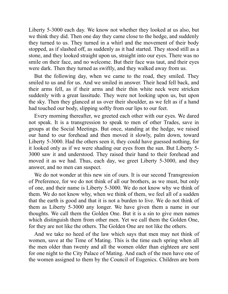Liberty 5-3000 each day. We know not whether they looked at us also, but we think they did. Then one day they came close to the hedge, and suddenly they turned to us. They turned in a whirl and the movement of their body stopped, as if slashed off, as suddenly as it had started. They stood still as a stone, and they looked straight upon us, straight into our eyes. There was no smile on their face, and no welcome. But their face was taut, and their eyes were dark. Then they turned as swiftly, and they walked away from us.

But the following day, when we came to the road, they smiled. They smiled to us and for us. And we smiled in answer. Their head fell back, and their arms fell, as if their arms and their thin white neck were stricken suddenly with a great lassitude. They were not looking upon us, but upon the sky. Then they glanced at us over their shoulder, as we felt as if a hand had touched our body, slipping softly from our lips to our feet.

Every morning thereafter, we greeted each other with our eyes. We dared not speak. It is a transgression to speak to men of other Trades, save in groups at the Social Meetings. But once, standing at the hedge, we raised our hand to our forehead and then moved it slowly, palm down, toward Liberty 5-3000. Had the others seen it, they could have guessed nothing, for it looked only as if we were shading our eyes from the sun. But Liberty 5- 3000 saw it and understood. They raised their hand to their forehead and moved it as we had. Thus, each day, we greet Liberty 5-3000, and they answer, and no men can suspect.

We do not wonder at this new sin of ours. It is our second Transgression of Preference, for we do not think of all our brothers, as we must, but only of one, and their name is Liberty 5-3000. We do not know why we think of them. We do not know why, when we think of them, we feel all of a sudden that the earth is good and that it is not a burden to live. We do not think of them as Liberty 5-3000 any longer. We have given them a name in our thoughts. We call them the Golden One. But it is a sin to give men names which distinguish them from other men. Yet we call them the Golden One, for they are not like the others. The Golden One are not like the others.

And we take no heed of the law which says that men may not think of women, save at the Time of Mating. This is the time each spring when all the men older than twenty and all the women older than eighteen are sent for one night to the City Palace of Mating. And each of the men have one of the women assigned to them by the Council of Eugenics. Children are born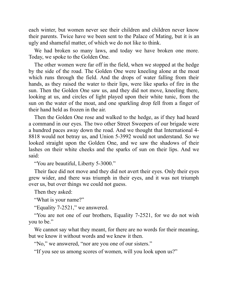each winter, but women never see their children and children never know their parents. Twice have we been sent to the Palace of Mating, but it is an ugly and shameful matter, of which we do not like to think.

We had broken so many laws, and today we have broken one more. Today, we spoke to the Golden One.

The other women were far off in the field, when we stopped at the hedge by the side of the road. The Golden One were kneeling alone at the moat which runs through the field. And the drops of water falling from their hands, as they raised the water to their lips, were like sparks of fire in the sun. Then the Golden One saw us, and they did not move, kneeling there, looking at us, and circles of light played upon their white tunic, from the sun on the water of the moat, and one sparkling drop fell from a finger of their hand held as frozen in the air.

Then the Golden One rose and walked to the hedge, as if they had heard a command in our eyes. The two other Street Sweepers of our brigade were a hundred paces away down the road. And we thought that International 4- 8818 would not betray us, and Union 5-3992 would not understand. So we looked straight upon the Golden One, and we saw the shadows of their lashes on their white cheeks and the sparks of sun on their lips. And we said:

"You are beautiful, Liberty 5-3000."

Their face did not move and they did not avert their eyes. Only their eyes grew wider, and there was triumph in their eyes, and it was not triumph over us, but over things we could not guess.

Then they asked:

"What is your name?"

"Equality 7-2521," we answered.

"You are not one of our brothers, Equality 7-2521, for we do not wish you to be."

We cannot say what they meant, for there are no words for their meaning, but we know it without words and we knew it then.

"No," we answered, "nor are you one of our sisters."

"If you see us among scores of women, will you look upon us?"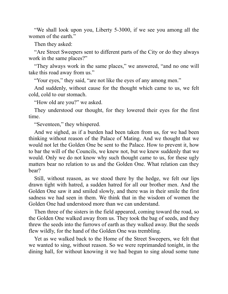"We shall look upon you, Liberty 5-3000, if we see you among all the women of the earth."

Then they asked:

"Are Street Sweepers sent to different parts of the City or do they always work in the same places?"

"They always work in the same places," we answered, "and no one will take this road away from us."

"Your eyes," they said, "are not like the eyes of any among men."

And suddenly, without cause for the thought which came to us, we felt cold, cold to our stomach.

"How old are you?" we asked.

They understood our thought, for they lowered their eyes for the first time.

"Seventeen," they whispered.

And we sighed, as if a burden had been taken from us, for we had been thinking without reason of the Palace of Mating. And we thought that we would not let the Golden One be sent to the Palace. How to prevent it, how to bar the will of the Councils, we knew not, but we knew suddenly that we would. Only we do not know why such thought came to us, for these ugly matters bear no relation to us and the Golden One. What relation can they bear?

Still, without reason, as we stood there by the hedge, we felt our lips drawn tight with hatred, a sudden hatred for all our brother men. And the Golden One saw it and smiled slowly, and there was in their smile the first sadness we had seen in them. We think that in the wisdom of women the Golden One had understood more than we can understand.

Then three of the sisters in the field appeared, coming toward the road, so the Golden One walked away from us. They took the bag of seeds, and they threw the seeds into the furrows of earth as they walked away. But the seeds flew wildly, for the hand of the Golden One was trembling.

Yet as we walked back to the Home of the Street Sweepers, we felt that we wanted to sing, without reason. So we were reprimanded tonight, in the dining hall, for without knowing it we had begun to sing aloud some tune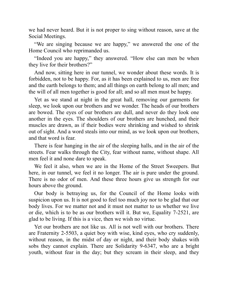we had never heard. But it is not proper to sing without reason, save at the Social Meetings.

"We are singing because we are happy," we answered the one of the Home Council who reprimanded us.

"Indeed you are happy," they answered. "How else can men be when they live for their brothers?"

And now, sitting here in our tunnel, we wonder about these words. It is forbidden, not to be happy. For, as it has been explained to us, men are free and the earth belongs to them; and all things on earth belong to all men; and the will of all men together is good for all; and so all men must be happy.

Yet as we stand at night in the great hall, removing our garments for sleep, we look upon our brothers and we wonder. The heads of our brothers are bowed. The eyes of our brothers are dull, and never do they look one another in the eyes. The shoulders of our brothers are hunched, and their muscles are drawn, as if their bodies were shrinking and wished to shrink out of sight. And a word steals into our mind, as we look upon our brothers, and that word is fear.

There is fear hanging in the air of the sleeping halls, and in the air of the streets. Fear walks through the City, fear without name, without shape. All men feel it and none dare to speak.

We feel it also, when we are in the Home of the Street Sweepers. But here, in our tunnel, we feel it no longer. The air is pure under the ground. There is no odor of men. And these three hours give us strength for our hours above the ground.

Our body is betraying us, for the Council of the Home looks with suspicion upon us. It is not good to feel too much joy nor to be glad that our body lives. For we matter not and it must not matter to us whether we live or die, which is to be as our brothers will it. But we, Equality 7-2521, are glad to be living. If this is a vice, then we wish no virtue.

Yet our brothers are not like us. All is not well with our brothers. There are Fraternity 2-5503, a quiet boy with wise, kind eyes, who cry suddenly, without reason, in the midst of day or night, and their body shakes with sobs they cannot explain. There are Solidarity 9-6347, who are a bright youth, without fear in the day; but they scream in their sleep, and they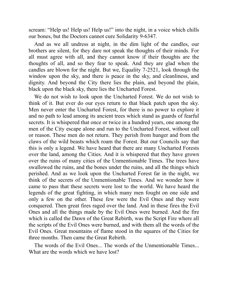scream: "Help us! Help us! Help us!" into the night, in a voice which chills our bones, but the Doctors cannot cure Solidarity 9-6347.

And as we all undress at night, in the dim light of the candles, our brothers are silent, for they dare not speak the thoughts of their minds. For all must agree with all, and they cannot know if their thoughts are the thoughts of all, and so they fear to speak. And they are glad when the candles are blown for the night. But we, Equality 7-2521, look through the window upon the sky, and there is peace in the sky, and cleanliness, and dignity. And beyond the City there lies the plain, and beyond the plain, black upon the black sky, there lies the Uncharted Forest.

We do not wish to look upon the Uncharted Forest. We do not wish to think of it. But ever do our eyes return to that black patch upon the sky. Men never enter the Uncharted Forest, for there is no power to explore it and no path to lead among its ancient trees which stand as guards of fearful secrets. It is whispered that once or twice in a hundred years, one among the men of the City escape alone and run to the Uncharted Forest, without call or reason. These men do not return. They perish from hunger and from the claws of the wild beasts which roam the Forest. But our Councils say that this is only a legend. We have heard that there are many Uncharted Forests over the land, among the Cities. And it is whispered that they have grown over the ruins of many cities of the Unmentionable Times. The trees have swallowed the ruins, and the bones under the ruins, and all the things which perished. And as we look upon the Uncharted Forest far in the night, we think of the secrets of the Unmentionable Times. And we wonder how it came to pass that these secrets were lost to the world. We have heard the legends of the great fighting, in which many men fought on one side and only a few on the other. These few were the Evil Ones and they were conquered. Then great fires raged over the land. And in these fires the Evil Ones and all the things made by the Evil Ones were burned. And the fire which is called the Dawn of the Great Rebirth, was the Script Fire where all the scripts of the Evil Ones were burned, and with them all the words of the Evil Ones. Great mountains of flame stood in the squares of the Cities for three months. Then came the Great Rebirth.

The words of the Evil Ones... The words of the Unmentionable Times... What are the words which we have lost?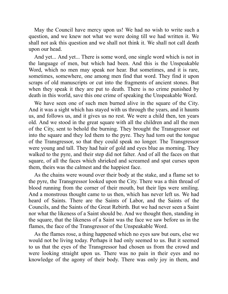May the Council have mercy upon us! We had no wish to write such a question, and we knew not what we were doing till we had written it. We shall not ask this question and we shall not think it. We shall not call death upon our head.

And yet... And yet... There is some word, one single word which is not in the language of men, but which had been. And this is the Unspeakable Word, which no men may speak nor hear. But sometimes, and it is rare, sometimes, somewhere, one among men find that word. They find it upon scraps of old manuscripts or cut into the fragments of ancient stones. But when they speak it they are put to death. There is no crime punished by death in this world, save this one crime of speaking the Unspeakable Word.

We have seen one of such men burned alive in the square of the City. And it was a sight which has stayed with us through the years, and it haunts us, and follows us, and it gives us no rest. We were a child then, ten years old. And we stood in the great square with all the children and all the men of the City, sent to behold the burning. They brought the Transgressor out into the square and they led them to the pyre. They had torn out the tongue of the Transgressor, so that they could speak no longer. The Transgressor were young and tall. They had hair of gold and eyes blue as morning. They walked to the pyre, and their step did not falter. And of all the faces on that square, of all the faces which shrieked and screamed and spat curses upon them, theirs was the calmest and the happiest face.

As the chains were wound over their body at the stake, and a flame set to the pyre, the Transgressor looked upon the City. There was a thin thread of blood running from the corner of their mouth, but their lips were smiling. And a monstrous thought came to us then, which has never left us. We had heard of Saints. There are the Saints of Labor, and the Saints of the Councils, and the Saints of the Great Rebirth. But we had never seen a Saint nor what the likeness of a Saint should be. And we thought then, standing in the square, that the likeness of a Saint was the face we saw before us in the flames, the face of the Transgressor of the Unspeakable Word.

As the flames rose, a thing happened which no eyes saw but ours, else we would not be living today. Perhaps it had only seemed to us. But it seemed to us that the eyes of the Transgressor had chosen us from the crowd and were looking straight upon us. There was no pain in their eyes and no knowledge of the agony of their body. There was only joy in them, and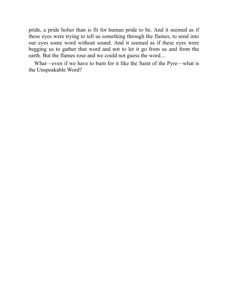pride, a pride holier than is fit for human pride to be. And it seemed as if these eyes were trying to tell us something through the flames, to send into our eyes some word without sound. And it seemed as if these eyes were begging us to gather that word and not to let it go from us and from the earth. But the flames rose and we could not guess the word....

<span id="page-21-0"></span>What—even if we have to burn for it like the Saint of the Pyre—what is the Unspeakable Word?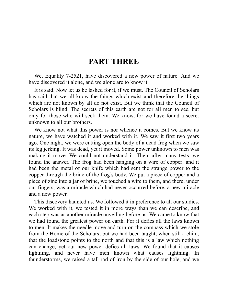#### **PART THREE**

We, Equality 7-2521, have discovered a new power of nature. And we have discovered it alone, and we alone are to know it.

It is said. Now let us be lashed for it, if we must. The Council of Scholars has said that we all know the things which exist and therefore the things which are not known by all do not exist. But we think that the Council of Scholars is blind. The secrets of this earth are not for all men to see, but only for those who will seek them. We know, for we have found a secret unknown to all our brothers.

We know not what this power is nor whence it comes. But we know its nature, we have watched it and worked with it. We saw it first two years ago. One night, we were cutting open the body of a dead frog when we saw its leg jerking. It was dead, yet it moved. Some power unknown to men was making it move. We could not understand it. Then, after many tests, we found the answer. The frog had been hanging on a wire of copper; and it had been the metal of our knife which had sent the strange power to the copper through the brine of the frog's body. We put a piece of copper and a piece of zinc into a jar of brine, we touched a wire to them, and there, under our fingers, was a miracle which had never occurred before, a new miracle and a new power.

This discovery haunted us. We followed it in preference to all our studies. We worked with it, we tested it in more ways than we can describe, and each step was as another miracle unveiling before us. We came to know that we had found the greatest power on earth. For it defies all the laws known to men. It makes the needle move and turn on the compass which we stole from the Home of the Scholars; but we had been taught, when still a child, that the loadstone points to the north and that this is a law which nothing can change; yet our new power defies all laws. We found that it causes lightning, and never have men known what causes lightning. In thunderstorms, we raised a tall rod of iron by the side of our hole, and we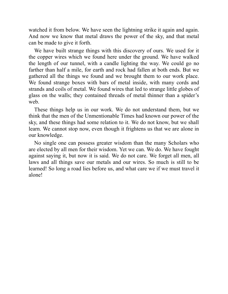watched it from below. We have seen the lightning strike it again and again. And now we know that metal draws the power of the sky, and that metal can be made to give it forth.

We have built strange things with this discovery of ours. We used for it the copper wires which we found here under the ground. We have walked the length of our tunnel, with a candle lighting the way. We could go no farther than half a mile, for earth and rock had fallen at both ends. But we gathered all the things we found and we brought them to our work place. We found strange boxes with bars of metal inside, with many cords and strands and coils of metal. We found wires that led to strange little globes of glass on the walls; they contained threads of metal thinner than a spider's web.

These things help us in our work. We do not understand them, but we think that the men of the Unmentionable Times had known our power of the sky, and these things had some relation to it. We do not know, but we shall learn. We cannot stop now, even though it frightens us that we are alone in our knowledge.

<span id="page-23-0"></span>No single one can possess greater wisdom than the many Scholars who are elected by all men for their wisdom. Yet we can. We do. We have fought against saying it, but now it is said. We do not care. We forget all men, all laws and all things save our metals and our wires. So much is still to be learned! So long a road lies before us, and what care we if we must travel it alone!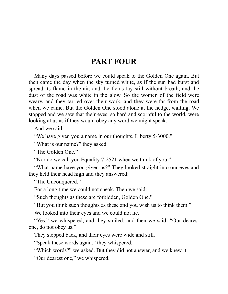#### **PART FOUR**

Many days passed before we could speak to the Golden One again. But then came the day when the sky turned white, as if the sun had burst and spread its flame in the air, and the fields lay still without breath, and the dust of the road was white in the glow. So the women of the field were weary, and they tarried over their work, and they were far from the road when we came. But the Golden One stood alone at the hedge, waiting. We stopped and we saw that their eyes, so hard and scornful to the world, were looking at us as if they would obey any word we might speak.

And we said:

"We have given you a name in our thoughts, Liberty 5-3000."

"What is our name?" they asked.

"The Golden One."

"Nor do we call you Equality 7-2521 when we think of you."

"What name have you given us?" They looked straight into our eyes and they held their head high and they answered:

"The Unconquered."

For a long time we could not speak. Then we said:

"Such thoughts as these are forbidden, Golden One."

"But you think such thoughts as these and you wish us to think them."

We looked into their eyes and we could not lie.

"Yes," we whispered, and they smiled, and then we said: "Our dearest one, do not obey us."

They stepped back, and their eyes were wide and still.

"Speak these words again," they whispered.

"Which words?" we asked. But they did not answer, and we knew it.

"Our dearest one," we whispered.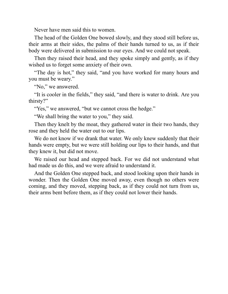Never have men said this to women.

The head of the Golden One bowed slowly, and they stood still before us, their arms at their sides, the palms of their hands turned to us, as if their body were delivered in submission to our eyes. And we could not speak.

Then they raised their head, and they spoke simply and gently, as if they wished us to forget some anxiety of their own.

"The day is hot," they said, "and you have worked for many hours and you must be weary."

"No," we answered.

"It is cooler in the fields," they said, "and there is water to drink. Are you thirsty?"

"Yes," we answered, "but we cannot cross the hedge."

"We shall bring the water to you," they said.

Then they knelt by the moat, they gathered water in their two hands, they rose and they held the water out to our lips.

We do not know if we drank that water. We only knew suddenly that their hands were empty, but we were still holding our lips to their hands, and that they knew it, but did not move.

We raised our head and stepped back. For we did not understand what had made us do this, and we were afraid to understand it.

<span id="page-25-0"></span>And the Golden One stepped back, and stood looking upon their hands in wonder. Then the Golden One moved away, even though no others were coming, and they moved, stepping back, as if they could not turn from us, their arms bent before them, as if they could not lower their hands.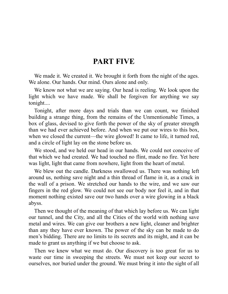#### **PART FIVE**

We made it. We created it. We brought it forth from the night of the ages. We alone. Our hands. Our mind. Ours alone and only.

We know not what we are saying. Our head is reeling. We look upon the light which we have made. We shall be forgiven for anything we say tonight....

Tonight, after more days and trials than we can count, we finished building a strange thing, from the remains of the Unmentionable Times, a box of glass, devised to give forth the power of the sky of greater strength than we had ever achieved before. And when we put our wires to this box, when we closed the current—the wire glowed! It came to life, it turned red, and a circle of light lay on the stone before us.

We stood, and we held our head in our hands. We could not conceive of that which we had created. We had touched no flint, made no fire. Yet here was light, light that came from nowhere, light from the heart of metal.

We blew out the candle. Darkness swallowed us. There was nothing left around us, nothing save night and a thin thread of flame in it, as a crack in the wall of a prison. We stretched our hands to the wire, and we saw our fingers in the red glow. We could not see our body nor feel it, and in that moment nothing existed save our two hands over a wire glowing in a black abyss.

Then we thought of the meaning of that which lay before us. We can light our tunnel, and the City, and all the Cities of the world with nothing save metal and wires. We can give our brothers a new light, cleaner and brighter than any they have ever known. The power of the sky can be made to do men's bidding. There are no limits to its secrets and its might, and it can be made to grant us anything if we but choose to ask.

Then we knew what we must do. Our discovery is too great for us to waste our time in sweeping the streets. We must not keep our secret to ourselves, nor buried under the ground. We must bring it into the sight of all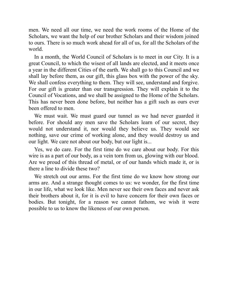men. We need all our time, we need the work rooms of the Home of the Scholars, we want the help of our brother Scholars and their wisdom joined to ours. There is so much work ahead for all of us, for all the Scholars of the world.

In a month, the World Council of Scholars is to meet in our City. It is a great Council, to which the wisest of all lands are elected, and it meets once a year in the different Cities of the earth. We shall go to this Council and we shall lay before them, as our gift, this glass box with the power of the sky. We shall confess everything to them. They will see, understand and forgive. For our gift is greater than our transgression. They will explain it to the Council of Vocations, and we shall be assigned to the Home of the Scholars. This has never been done before, but neither has a gift such as ours ever been offered to men.

We must wait. We must guard our tunnel as we had never guarded it before. For should any men save the Scholars learn of our secret, they would not understand it, nor would they believe us. They would see nothing, save our crime of working alone, and they would destroy us and our light. We care not about our body, but our light is...

Yes, we do care. For the first time do we care about our body. For this wire is as a part of our body, as a vein torn from us, glowing with our blood. Are we proud of this thread of metal, or of our hands which made it, or is there a line to divide these two?

<span id="page-27-0"></span>We stretch out our arms. For the first time do we know how strong our arms are. And a strange thought comes to us: we wonder, for the first time in our life, what we look like. Men never see their own faces and never ask their brothers about it, for it is evil to have concern for their own faces or bodies. But tonight, for a reason we cannot fathom, we wish it were possible to us to know the likeness of our own person.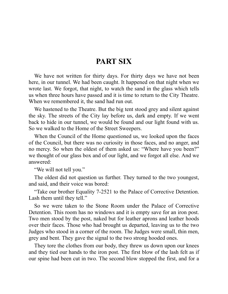#### **PART SIX**

We have not written for thirty days. For thirty days we have not been here, in our tunnel. We had been caught. It happened on that night when we wrote last. We forgot, that night, to watch the sand in the glass which tells us when three hours have passed and it is time to return to the City Theatre. When we remembered it, the sand had run out.

We hastened to the Theatre. But the big tent stood grey and silent against the sky. The streets of the City lay before us, dark and empty. If we went back to hide in our tunnel, we would be found and our light found with us. So we walked to the Home of the Street Sweepers.

When the Council of the Home questioned us, we looked upon the faces of the Council, but there was no curiosity in those faces, and no anger, and no mercy. So when the oldest of them asked us: "Where have you been?" we thought of our glass box and of our light, and we forgot all else. And we answered:

"We will not tell you."

The oldest did not question us further. They turned to the two youngest, and said, and their voice was bored:

"Take our brother Equality 7-2521 to the Palace of Corrective Detention. Lash them until they tell."

So we were taken to the Stone Room under the Palace of Corrective Detention. This room has no windows and it is empty save for an iron post. Two men stood by the post, naked but for leather aprons and leather hoods over their faces. Those who had brought us departed, leaving us to the two Judges who stood in a corner of the room. The Judges were small, thin men, grey and bent. They gave the signal to the two strong hooded ones.

They tore the clothes from our body, they threw us down upon our knees and they tied our hands to the iron post. The first blow of the lash felt as if our spine had been cut in two. The second blow stopped the first, and for a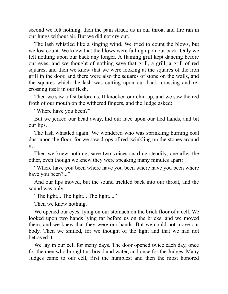second we felt nothing, then the pain struck us in our throat and fire ran in our lungs without air. But we did not cry out.

The lash whistled like a singing wind. We tried to count the blows, but we lost count. We knew that the blows were falling upon our back. Only we felt nothing upon our back any longer. A flaming grill kept dancing before our eyes, and we thought of nothing save that grill, a grill, a grill of red squares, and then we knew that we were looking at the squares of the iron grill in the door, and there were also the squares of stone on the walls, and the squares which the lash was cutting upon our back, crossing and recrossing itself in our flesh.

Then we saw a fist before us. It knocked our chin up, and we saw the red froth of our mouth on the withered fingers, and the Judge asked:

"Where have you been?"

But we jerked our head away, hid our face upon our tied hands, and bit our lips.

The lash whistled again. We wondered who was sprinkling burning coal dust upon the floor, for we saw drops of red twinkling on the stones around us.

Then we knew nothing, save two voices snarling steadily, one after the other, even though we knew they were speaking many minutes apart:

"Where have you been where have you been where have you been where have you been?..."

And our lips moved, but the sound trickled back into our throat, and the sound was only:

"The light... The light... The light...."

Then we knew nothing.

We opened our eyes, lying on our stomach on the brick floor of a cell. We looked upon two hands lying far before us on the bricks, and we moved them, and we knew that they were our hands. But we could not move our body. Then we smiled, for we thought of the light and that we had not betrayed it.

We lay in our cell for many days. The door opened twice each day, once for the men who brought us bread and water, and once for the Judges. Many Judges came to our cell, first the humblest and then the most honored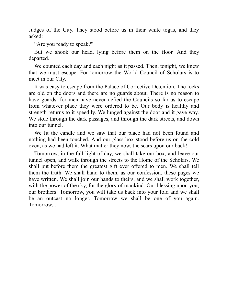Judges of the City. They stood before us in their white togas, and they asked:

"Are you ready to speak?"

But we shook our head, lying before them on the floor. And they departed.

We counted each day and each night as it passed. Then, tonight, we knew that we must escape. For tomorrow the World Council of Scholars is to meet in our City.

It was easy to escape from the Palace of Corrective Detention. The locks are old on the doors and there are no guards about. There is no reason to have guards, for men have never defied the Councils so far as to escape from whatever place they were ordered to be. Our body is healthy and strength returns to it speedily. We lunged against the door and it gave way. We stole through the dark passages, and through the dark streets, and down into our tunnel.

We lit the candle and we saw that our place had not been found and nothing had been touched. And our glass box stood before us on the cold oven, as we had left it. What matter they now, the scars upon our back!

<span id="page-30-0"></span>Tomorrow, in the full light of day, we shall take our box, and leave our tunnel open, and walk through the streets to the Home of the Scholars. We shall put before them the greatest gift ever offered to men. We shall tell them the truth. We shall hand to them, as our confession, these pages we have written. We shall join our hands to theirs, and we shall work together, with the power of the sky, for the glory of mankind. Our blessing upon you, our brothers! Tomorrow, you will take us back into your fold and we shall be an outcast no longer. Tomorrow we shall be one of you again. Tomorrow...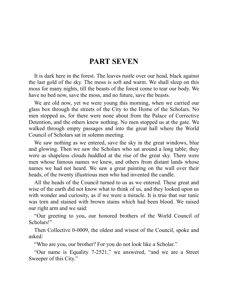#### **PART SEVEN**

It is dark here in the forest. The leaves rustle over our head, black against the last gold of the sky. The moss is soft and warm. We shall sleep on this moss for many nights, till the beasts of the forest come to tear our body. We have no bed now, save the moss, and no future, save the beasts.

We are old now, yet we were young this morning, when we carried our glass box through the streets of the City to the Home of the Scholars. No men stopped us, for there were none about from the Palace of Corrective Detention, and the others knew nothing. No men stopped us at the gate. We walked through empty passages and into the great hall where the World Council of Scholars sat in solemn meeting.

We saw nothing as we entered, save the sky in the great windows, blue and glowing. Then we saw the Scholars who sat around a long table; they were as shapeless clouds huddled at the rise of the great sky. There were men whose famous names we knew, and others from distant lands whose names we had not heard. We saw a great painting on the wall over their heads, of the twenty illustrious men who had invented the candle.

All the heads of the Council turned to us as we entered. These great and wise of the earth did not know what to think of us, and they looked upon us with wonder and curiosity, as if we were a miracle. It is true that our tunic was torn and stained with brown stains which had been blood. We raised our right arm and we said:

"Our greeting to you, our honored brothers of the World Council of Scholars!"

Then Collective 0-0009, the oldest and wisest of the Council, spoke and asked:

"Who are you, our brother? For you do not look like a Scholar."

"Our name is Equality 7-2521," we answered, "and we are a Street Sweeper of this City."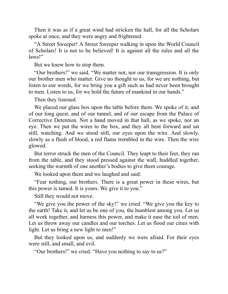Then it was as if a great wind had stricken the hall, for all the Scholars spoke at once, and they were angry and frightened.

"A Street Sweeper! A Street Sweeper walking in upon the World Council of Scholars! It is not to be believed! It is against all the rules and all the laws!"

But we knew how to stop them.

"Our brothers!" we said. "We matter not, nor our transgression. It is only our brother men who matter. Give no thought to us, for we are nothing, but listen to our words, for we bring you a gift such as had never been brought to men. Listen to us, for we hold the future of mankind in our hands."

Then they listened.

We placed our glass box upon the table before them. We spoke of it, and of our long quest, and of our tunnel, and of our escape from the Palace of Corrective Detention. Not a hand moved in that hall, as we spoke, nor an eye. Then we put the wires to the box, and they all bent forward and sat still, watching. And we stood still, our eyes upon the wire. And slowly, slowly as a flush of blood, a red flame trembled in the wire. Then the wire glowed.

But terror struck the men of the Council. They leapt to their feet, they ran from the table, and they stood pressed against the wall, huddled together, seeking the warmth of one another's bodies to give them courage.

We looked upon them and we laughed and said:

"Fear nothing, our brothers. There is a great power in these wires, but this power is tamed. It is yours. We give it to you."

Still they would not move.

"We give you the power of the sky!" we cried. "We give you the key to the earth! Take it, and let us be one of you, the humblest among you. Let us all work together, and harness this power, and make it ease the toil of men. Let us throw away our candles and our torches. Let us flood our cities with light. Let us bring a new light to men!"

But they looked upon us, and suddenly we were afraid. For their eyes were still, and small, and evil.

"Our brothers!" we cried. "Have you nothing to say to us?"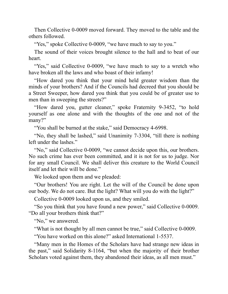Then Collective 0-0009 moved forward. They moved to the table and the others followed.

"Yes," spoke Collective 0-0009, "we have much to say to you."

The sound of their voices brought silence to the hall and to beat of our heart.

"Yes," said Collective 0-0009, "we have much to say to a wretch who have broken all the laws and who boast of their infamy!

"How dared you think that your mind held greater wisdom than the minds of your brothers? And if the Councils had decreed that you should be a Street Sweeper, how dared you think that you could be of greater use to men than in sweeping the streets?"

"How dared you, gutter cleaner," spoke Fraternity 9-3452, "to hold yourself as one alone and with the thoughts of the one and not of the many?"

"You shall be burned at the stake," said Democracy 4-6998.

"No, they shall be lashed," said Unanimity 7-3304, "till there is nothing left under the lashes."

"No," said Collective 0-0009, "we cannot decide upon this, our brothers. No such crime has ever been committed, and it is not for us to judge. Nor for any small Council. We shall deliver this creature to the World Council itself and let their will be done."

We looked upon them and we pleaded:

"Our brothers! You are right. Let the will of the Council be done upon our body. We do not care. But the light? What will you do with the light?"

Collective 0-0009 looked upon us, and they smiled.

"So you think that you have found a new power," said Collective 0-0009. "Do all your brothers think that?"

"No," we answered.

"What is not thought by all men cannot be true," said Collective 0-0009.

"You have worked on this alone?" asked International 1-5537.

"Many men in the Homes of the Scholars have had strange new ideas in the past," said Solidarity 8-1164, "but when the majority of their brother Scholars voted against them, they abandoned their ideas, as all men must."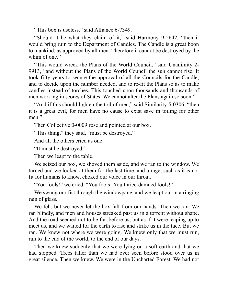"This box is useless," said Alliance 6-7349.

"Should it be what they claim of it," said Harmony 9-2642, "then it would bring ruin to the Department of Candles. The Candle is a great boon to mankind, as approved by all men. Therefore it cannot be destroyed by the whim of one."

"This would wreck the Plans of the World Council," said Unanimity 2- 9913, "and without the Plans of the World Council the sun cannot rise. It took fifty years to secure the approval of all the Councils for the Candle, and to decide upon the number needed, and to re-fit the Plans so as to make candles instead of torches. This touched upon thousands and thousands of men working in scores of States. We cannot alter the Plans again so soon."

"And if this should lighten the toil of men," said Similarity 5-0306, "then it is a great evil, for men have no cause to exist save in toiling for other men<sup>"</sup>

Then Collective 0-0009 rose and pointed at our box.

"This thing," they said, "must be destroyed."

And all the others cried as one:

"It must be destroyed!"

Then we leapt to the table.

We seized our box, we shoved them aside, and we ran to the window. We turned and we looked at them for the last time, and a rage, such as it is not fit for humans to know, choked our voice in our throat.

"You fools!" we cried. "You fools! You thrice-damned fools!"

We swung our fist through the windowpane, and we leapt out in a ringing rain of glass.

We fell, but we never let the box fall from our hands. Then we ran. We ran blindly, and men and houses streaked past us in a torrent without shape. And the road seemed not to be flat before us, but as if it were leaping up to meet us, and we waited for the earth to rise and strike us in the face. But we ran. We knew not where we were going. We knew only that we must run, run to the end of the world, to the end of our days.

Then we knew suddenly that we were lying on a soft earth and that we had stopped. Trees taller than we had ever seen before stood over us in great silence. Then we knew. We were in the Uncharted Forest. We had not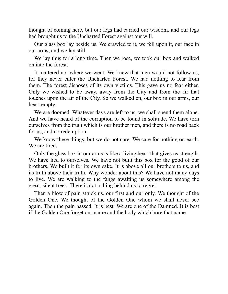thought of coming here, but our legs had carried our wisdom, and our legs had brought us to the Uncharted Forest against our will.

Our glass box lay beside us. We crawled to it, we fell upon it, our face in our arms, and we lay still.

We lay thus for a long time. Then we rose, we took our box and walked on into the forest.

It mattered not where we went. We knew that men would not follow us, for they never enter the Uncharted Forest. We had nothing to fear from them. The forest disposes of its own victims. This gave us no fear either. Only we wished to be away, away from the City and from the air that touches upon the air of the City. So we walked on, our box in our arms, our heart empty.

We are doomed. Whatever days are left to us, we shall spend them alone. And we have heard of the corruption to be found in solitude. We have torn ourselves from the truth which is our brother men, and there is no road back for us, and no redemption.

We know these things, but we do not care. We care for nothing on earth. We are tired.

Only the glass box in our arms is like a living heart that gives us strength. We have lied to ourselves. We have not built this box for the good of our brothers. We built it for its own sake. It is above all our brothers to us, and its truth above their truth. Why wonder about this? We have not many days to live. We are walking to the fangs awaiting us somewhere among the great, silent trees. There is not a thing behind us to regret.

<span id="page-35-0"></span>Then a blow of pain struck us, our first and our only. We thought of the Golden One. We thought of the Golden One whom we shall never see again. Then the pain passed. It is best. We are one of the Damned. It is best if the Golden One forget our name and the body which bore that name.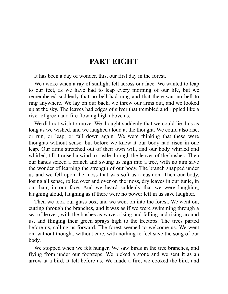#### **PART EIGHT**

It has been a day of wonder, this, our first day in the forest.

We awoke when a ray of sunlight fell across our face. We wanted to leap to our feet, as we have had to leap every morning of our life, but we remembered suddenly that no bell had rung and that there was no bell to ring anywhere. We lay on our back, we threw our arms out, and we looked up at the sky. The leaves had edges of silver that trembled and rippled like a river of green and fire flowing high above us.

We did not wish to move. We thought suddenly that we could lie thus as long as we wished, and we laughed aloud at the thought. We could also rise, or run, or leap, or fall down again. We were thinking that these were thoughts without sense, but before we knew it our body had risen in one leap. Our arms stretched out of their own will, and our body whirled and whirled, till it raised a wind to rustle through the leaves of the bushes. Then our hands seized a branch and swung us high into a tree, with no aim save the wonder of learning the strength of our body. The branch snapped under us and we fell upon the moss that was soft as a cushion. Then our body, losing all sense, rolled over and over on the moss, dry leaves in our tunic, in our hair, in our face. And we heard suddenly that we were laughing, laughing aloud, laughing as if there were no power left in us save laughter.

Then we took our glass box, and we went on into the forest. We went on, cutting through the branches, and it was as if we were swimming through a sea of leaves, with the bushes as waves rising and falling and rising around us, and flinging their green sprays high to the treetops. The trees parted before us, calling us forward. The forest seemed to welcome us. We went on, without thought, without care, with nothing to feel save the song of our body.

We stopped when we felt hunger. We saw birds in the tree branches, and flying from under our footsteps. We picked a stone and we sent it as an arrow at a bird. It fell before us. We made a fire, we cooked the bird, and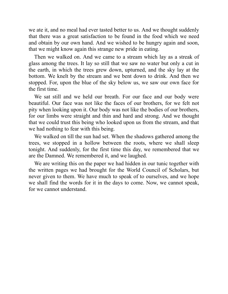we ate it, and no meal had ever tasted better to us. And we thought suddenly that there was a great satisfaction to be found in the food which we need and obtain by our own hand. And we wished to be hungry again and soon, that we might know again this strange new pride in eating.

Then we walked on. And we came to a stream which lay as a streak of glass among the trees. It lay so still that we saw no water but only a cut in the earth, in which the trees grew down, upturned, and the sky lay at the bottom. We knelt by the stream and we bent down to drink. And then we stopped. For, upon the blue of the sky below us, we saw our own face for the first time.

We sat still and we held our breath. For our face and our body were beautiful. Our face was not like the faces of our brothers, for we felt not pity when looking upon it. Our body was not like the bodies of our brothers, for our limbs were straight and thin and hard and strong. And we thought that we could trust this being who looked upon us from the stream, and that we had nothing to fear with this being.

We walked on till the sun had set. When the shadows gathered among the trees, we stopped in a hollow between the roots, where we shall sleep tonight. And suddenly, for the first time this day, we remembered that we are the Damned. We remembered it, and we laughed.

<span id="page-37-0"></span>We are writing this on the paper we had hidden in our tunic together with the written pages we had brought for the World Council of Scholars, but never given to them. We have much to speak of to ourselves, and we hope we shall find the words for it in the days to come. Now, we cannot speak, for we cannot understand.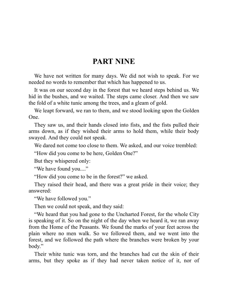#### **PART NINE**

We have not written for many days. We did not wish to speak. For we needed no words to remember that which has happened to us.

It was on our second day in the forest that we heard steps behind us. We hid in the bushes, and we waited. The steps came closer. And then we saw the fold of a white tunic among the trees, and a gleam of gold.

We leapt forward, we ran to them, and we stood looking upon the Golden One.

They saw us, and their hands closed into fists, and the fists pulled their arms down, as if they wished their arms to hold them, while their body swayed. And they could not speak.

We dared not come too close to them. We asked, and our voice trembled:

"How did you come to be here, Golden One?"

But they whispered only:

"We have found you...."

"How did you come to be in the forest?" we asked.

They raised their head, and there was a great pride in their voice; they answered:

"We have followed you."

Then we could not speak, and they said:

"We heard that you had gone to the Uncharted Forest, for the whole City is speaking of it. So on the night of the day when we heard it, we ran away from the Home of the Peasants. We found the marks of your feet across the plain where no men walk. So we followed them, and we went into the forest, and we followed the path where the branches were broken by your body."

Their white tunic was torn, and the branches had cut the skin of their arms, but they spoke as if they had never taken notice of it, nor of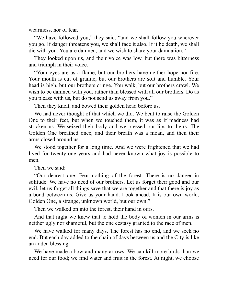weariness, nor of fear.

"We have followed you," they said, "and we shall follow you wherever you go. If danger threatens you, we shall face it also. If it be death, we shall die with you. You are damned, and we wish to share your damnation."

They looked upon us, and their voice was low, but there was bitterness and triumph in their voice.

"Your eyes are as a flame, but our brothers have neither hope nor fire. Your mouth is cut of granite, but our brothers are soft and humble. Your head is high, but our brothers cringe. You walk, but our brothers crawl. We wish to be damned with you, rather than blessed with all our brothers. Do as you please with us, but do not send us away from you."

Then they knelt, and bowed their golden head before us.

We had never thought of that which we did. We bent to raise the Golden One to their feet, but when we touched them, it was as if madness had stricken us. We seized their body and we pressed our lips to theirs. The Golden One breathed once, and their breath was a moan, and then their arms closed around us.

We stood together for a long time. And we were frightened that we had lived for twenty-one years and had never known what joy is possible to men.

Then we said:

"Our dearest one. Fear nothing of the forest. There is no danger in solitude. We have no need of our brothers. Let us forget their good and our evil, let us forget all things save that we are together and that there is joy as a bond between us. Give us your hand. Look ahead. It is our own world, Golden One, a strange, unknown world, but our own."

Then we walked on into the forest, their hand in ours.

And that night we knew that to hold the body of women in our arms is neither ugly nor shameful, but the one ecstasy granted to the race of men.

We have walked for many days. The forest has no end, and we seek no end. But each day added to the chain of days between us and the City is like an added blessing.

We have made a bow and many arrows. We can kill more birds than we need for our food; we find water and fruit in the forest. At night, we choose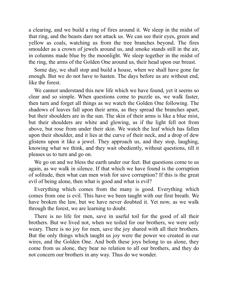a clearing, and we build a ring of fires around it. We sleep in the midst of that ring, and the beasts dare not attack us. We can see their eyes, green and yellow as coals, watching us from the tree branches beyond. The fires smoulder as a crown of jewels around us, and smoke stands still in the air, in columns made blue by the moonlight. We sleep together in the midst of the ring, the arms of the Golden One around us, their head upon our breast.

Some day, we shall stop and build a house, when we shall have gone far enough. But we do not have to hasten. The days before us are without end, like the forest.

We cannot understand this new life which we have found, yet it seems so clear and so simple. When questions come to puzzle us, we walk faster, then turn and forget all things as we watch the Golden One following. The shadows of leaves fall upon their arms, as they spread the branches apart, but their shoulders are in the sun. The skin of their arms is like a blue mist, but their shoulders are white and glowing, as if the light fell not from above, but rose from under their skin. We watch the leaf which has fallen upon their shoulder, and it lies at the curve of their neck, and a drop of dew glistens upon it like a jewel. They approach us, and they stop, laughing, knowing what we think, and they wait obediently, without questions, till it pleases us to turn and go on.

We go on and we bless the earth under our feet. But questions come to us again, as we walk in silence. If that which we have found is the corruption of solitude, then what can men wish for save corruption? If this is the great evil of being alone, then what is good and what is evil?

Everything which comes from the many is good. Everything which comes from one is evil. This have we been taught with our first breath. We have broken the law, but we have never doubted it. Yet now, as we walk through the forest, we are learning to doubt.

There is no life for men, save in useful toil for the good of all their brothers. But we lived not, when we toiled for our brothers, we were only weary. There is no joy for men, save the joy shared with all their brothers. But the only things which taught us joy were the power we created in our wires, and the Golden One. And both these joys belong to us alone, they come from us alone, they bear no relation to all our brothers, and they do not concern our brothers in any way. Thus do we wonder.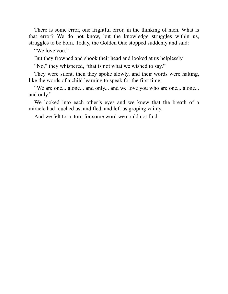There is some error, one frightful error, in the thinking of men. What is that error? We do not know, but the knowledge struggles within us, struggles to be born. Today, the Golden One stopped suddenly and said:

"We love you."

But they frowned and shook their head and looked at us helplessly.

"No," they whispered, "that is not what we wished to say."

They were silent, then they spoke slowly, and their words were halting, like the words of a child learning to speak for the first time:

"We are one... alone... and only... and we love you who are one... alone... and only."

We looked into each other's eyes and we knew that the breath of a miracle had touched us, and fled, and left us groping vainly.

<span id="page-41-0"></span>And we felt torn, torn for some word we could not find.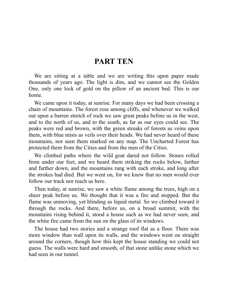#### **PART TEN**

We are sitting at a table and we are writing this upon paper made thousands of years ago. The light is dim, and we cannot see the Golden One, only one lock of gold on the pillow of an ancient bed. This is our home.

We came upon it today, at sunrise. For many days we had been crossing a chain of mountains. The forest rose among cliffs, and whenever we walked out upon a barren stretch of rock we saw great peaks before us in the west, and to the north of us, and to the south, as far as our eyes could see. The peaks were red and brown, with the green streaks of forests as veins upon them, with blue mists as veils over their heads. We had never heard of these mountains, nor seen them marked on any map. The Uncharted Forest has protected them from the Cities and from the men of the Cities.

We climbed paths where the wild goat dared not follow. Stones rolled from under our feet, and we heard them striking the rocks below, farther and farther down, and the mountains rang with each stroke, and long after the strokes had died. But we went on, for we knew that no men would ever follow our track nor reach us here.

Then today, at sunrise, we saw a white flame among the trees, high on a sheer peak before us. We thought that it was a fire and stopped. But the flame was unmoving, yet blinding as liquid metal. So we climbed toward it through the rocks. And there, before us, on a broad summit, with the mountains rising behind it, stood a house such as we had never seen, and the white fire came from the sun on the glass of its windows.

The house had two stories and a strange roof flat as a floor. There was more window than wall upon its walls, and the windows went on straight around the corners, though how this kept the house standing we could not guess. The walls were hard and smooth, of that stone unlike stone which we had seen in our tunnel.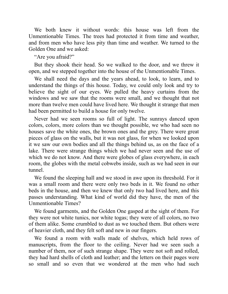We both knew it without words: this house was left from the Unmentionable Times. The trees had protected it from time and weather, and from men who have less pity than time and weather. We turned to the Golden One and we asked:

"Are you afraid?"

But they shook their head. So we walked to the door, and we threw it open, and we stepped together into the house of the Unmentionable Times.

We shall need the days and the years ahead, to look, to learn, and to understand the things of this house. Today, we could only look and try to believe the sight of our eyes. We pulled the heavy curtains from the windows and we saw that the rooms were small, and we thought that not more than twelve men could have lived here. We thought it strange that men had been permitted to build a house for only twelve.

Never had we seen rooms so full of light. The sunrays danced upon colors, colors, more colors than we thought possible, we who had seen no houses save the white ones, the brown ones and the grey. There were great pieces of glass on the walls, but it was not glass, for when we looked upon it we saw our own bodies and all the things behind us, as on the face of a lake. There were strange things which we had never seen and the use of which we do not know. And there were globes of glass everywhere, in each room, the globes with the metal cobwebs inside, such as we had seen in our tunnel.

We found the sleeping hall and we stood in awe upon its threshold. For it was a small room and there were only two beds in it. We found no other beds in the house, and then we knew that only two had lived here, and this passes understanding. What kind of world did they have, the men of the Unmentionable Times?

We found garments, and the Golden One gasped at the sight of them. For they were not white tunics, nor white togas; they were of all colors, no two of them alike. Some crumbled to dust as we touched them. But others were of heavier cloth, and they felt soft and new in our fingers.

We found a room with walls made of shelves, which held rows of manuscripts, from the floor to the ceiling. Never had we seen such a number of them, nor of such strange shape. They were not soft and rolled, they had hard shells of cloth and leather; and the letters on their pages were so small and so even that we wondered at the men who had such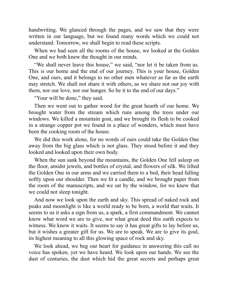handwriting. We glanced through the pages, and we saw that they were written in our language, but we found many words which we could not understand. Tomorrow, we shall begin to read these scripts.

When we had seen all the rooms of the house, we looked at the Golden One and we both knew the thought in our minds.

"We shall never leave this house," we said, "nor let it be taken from us. This is our home and the end of our journey. This is your house, Golden One, and ours, and it belongs to no other men whatever as far as the earth may stretch. We shall not share it with others, as we share not our joy with them, nor our love, nor our hunger. So be it to the end of our days."

"Your will be done," they said.

Then we went out to gather wood for the great hearth of our home. We brought water from the stream which runs among the trees under our windows. We killed a mountain goat, and we brought its flesh to be cooked in a strange copper pot we found in a place of wonders, which must have been the cooking room of the house.

We did this work alone, for no words of ours could take the Golden One away from the big glass which is not glass. They stood before it and they looked and looked upon their own body.

When the sun sank beyond the mountains, the Golden One fell asleep on the floor, amidst jewels, and bottles of crystal, and flowers of silk. We lifted the Golden One in our arms and we carried them to a bed, their head falling softly upon our shoulder. Then we lit a candle, and we brought paper from the room of the manuscripts, and we sat by the window, for we knew that we could not sleep tonight.

And now we look upon the earth and sky. This spread of naked rock and peaks and moonlight is like a world ready to be born, a world that waits. It seems to us it asks a sign from us, a spark, a first commandment. We cannot know what word we are to give, nor what great deed this earth expects to witness. We know it waits. It seems to say it has great gifts to lay before us, but it wishes a greater gift for us. We are to speak. We are to give its goal, its highest meaning to all this glowing space of rock and sky.

We look ahead, we beg our heart for guidance in answering this call no voice has spoken, yet we have heard. We look upon our hands. We see the dust of centuries, the dust which hid the great secrets and perhaps great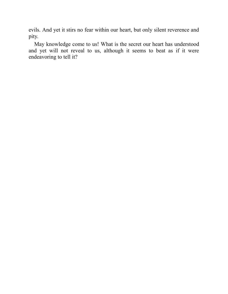evils. And yet it stirs no fear within our heart, but only silent reverence and pity.

<span id="page-45-0"></span>May knowledge come to us! What is the secret our heart has understood and yet will not reveal to us, although it seems to beat as if it were endeavoring to tell it?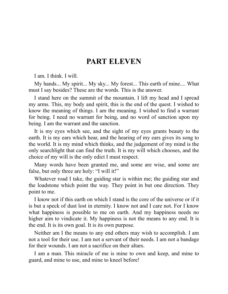#### **PART ELEVEN**

I am. I think. I will.

My hands... My spirit... My sky... My forest... This earth of mine.... What must I say besides? These are the words. This is the answer.

I stand here on the summit of the mountain. I lift my head and I spread my arms. This, my body and spirit, this is the end of the quest. I wished to know the meaning of things. I am the meaning. I wished to find a warrant for being. I need no warrant for being, and no word of sanction upon my being. I am the warrant and the sanction.

It is my eyes which see, and the sight of my eyes grants beauty to the earth. It is my ears which hear, and the hearing of my ears gives its song to the world. It is my mind which thinks, and the judgement of my mind is the only searchlight that can find the truth. It is my will which chooses, and the choice of my will is the only edict I must respect.

Many words have been granted me, and some are wise, and some are false, but only three are holy: "I will it!"

Whatever road I take, the guiding star is within me; the guiding star and the loadstone which point the way. They point in but one direction. They point to me.

I know not if this earth on which I stand is the core of the universe or if it is but a speck of dust lost in eternity. I know not and I care not. For I know what happiness is possible to me on earth. And my happiness needs no higher aim to vindicate it. My happiness is not the means to any end. It is the end. It is its own goal. It is its own purpose.

Neither am I the means to any end others may wish to accomplish. I am not a tool for their use. I am not a servant of their needs. I am not a bandage for their wounds. I am not a sacrifice on their altars.

I am a man. This miracle of me is mine to own and keep, and mine to guard, and mine to use, and mine to kneel before!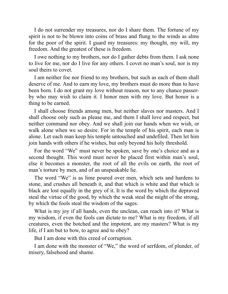I do not surrender my treasures, nor do I share them. The fortune of my spirit is not to be blown into coins of brass and flung to the winds as alms for the poor of the spirit. I guard my treasures: my thought, my will, my freedom. And the greatest of these is freedom.

I owe nothing to my brothers, nor do I gather debts from them. I ask none to live for me, nor do I live for any others. I covet no man's soul, nor is my soul theirs to covet.

I am neither foe nor friend to my brothers, but such as each of them shall deserve of me. And to earn my love, my brothers must do more than to have been born. I do not grant my love without reason, nor to any chance passerby who may wish to claim it. I honor men with my love. But honor is a thing to be earned.

I shall choose friends among men, but neither slaves nor masters. And I shall choose only such as please me, and them I shall love and respect, but neither command nor obey. And we shall join our hands when we wish, or walk alone when we so desire. For in the temple of his spirit, each man is alone. Let each man keep his temple untouched and undefiled. Then let him join hands with others if he wishes, but only beyond his holy threshold.

For the word "We" must never be spoken, save by one's choice and as a second thought. This word must never be placed first within man's soul, else it becomes a monster, the root of all the evils on earth, the root of man's torture by men, and of an unspeakable lie.

The word "We" is as lime poured over men, which sets and hardens to stone, and crushes all beneath it, and that which is white and that which is black are lost equally in the grey of it. It is the word by which the depraved steal the virtue of the good, by which the weak steal the might of the strong, by which the fools steal the wisdom of the sages.

What is my joy if all hands, even the unclean, can reach into it? What is my wisdom, if even the fools can dictate to me? What is my freedom, if all creatures, even the botched and the impotent, are my masters? What is my life, if I am but to bow, to agree and to obey?

But I am done with this creed of corruption.

I am done with the monster of "We," the word of serfdom, of plunder, of misery, falsehood and shame.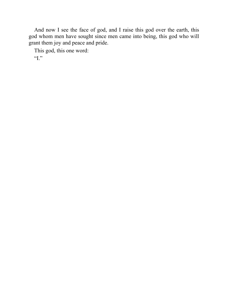And now I see the face of god, and I raise this god over the earth, this god whom men have sought since men came into being, this god who will grant them joy and peace and pride.

This god, this one word:

<span id="page-48-0"></span>"I."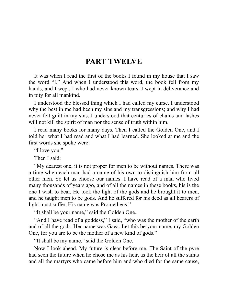#### **PART TWELVE**

It was when I read the first of the books I found in my house that I saw the word "I." And when I understood this word, the book fell from my hands, and I wept, I who had never known tears. I wept in deliverance and in pity for all mankind.

I understood the blessed thing which I had called my curse. I understood why the best in me had been my sins and my transgressions; and why I had never felt guilt in my sins. I understood that centuries of chains and lashes will not kill the spirit of man nor the sense of truth within him.

I read many books for many days. Then I called the Golden One, and I told her what I had read and what I had learned. She looked at me and the first words she spoke were:

"I love you."

Then I said:

"My dearest one, it is not proper for men to be without names. There was a time when each man had a name of his own to distinguish him from all other men. So let us choose our names. I have read of a man who lived many thousands of years ago, and of all the names in these books, his is the one I wish to bear. He took the light of the gods and he brought it to men, and he taught men to be gods. And he suffered for his deed as all bearers of light must suffer. His name was Prometheus."

"It shall be your name," said the Golden One.

"And I have read of a goddess," I said, "who was the mother of the earth and of all the gods. Her name was Gaea. Let this be your name, my Golden One, for you are to be the mother of a new kind of gods."

"It shall be my name," said the Golden One.

Now I look ahead. My future is clear before me. The Saint of the pyre had seen the future when he chose me as his heir, as the heir of all the saints and all the martyrs who came before him and who died for the same cause,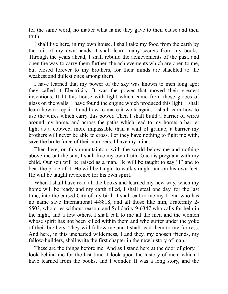for the same word, no matter what name they gave to their cause and their truth.

I shall live here, in my own house. I shall take my food from the earth by the toil of my own hands. I shall learn many secrets from my books. Through the years ahead, I shall rebuild the achievements of the past, and open the way to carry them further, the achievements which are open to me, but closed forever to my brothers, for their minds are shackled to the weakest and dullest ones among them.

I have learned that my power of the sky was known to men long ago; they called it Electricity. It was the power that moved their greatest inventions. It lit this house with light which came from those globes of glass on the walls. I have found the engine which produced this light. I shall learn how to repair it and how to make it work again. I shall learn how to use the wires which carry this power. Then I shall build a barrier of wires around my home, and across the paths which lead to my home; a barrier light as a cobweb, more impassable than a wall of granite; a barrier my brothers will never be able to cross. For they have nothing to fight me with, save the brute force of their numbers. I have my mind.

Then here, on this mountaintop, with the world below me and nothing above me but the sun, I shall live my own truth. Gaea is pregnant with my child. Our son will be raised as a man. He will be taught to say "I" and to bear the pride of it. He will be taught to walk straight and on his own feet. He will be taught reverence for his own spirit.

When I shall have read all the books and learned my new way, when my home will be ready and my earth tilled, I shall steal one day, for the last time, into the cursed City of my birth. I shall call to me my friend who has no name save International 4-8818, and all those like him, Fraternity 2- 5503, who cries without reason, and Solidarity 9-6347 who calls for help in the night, and a few others. I shall call to me all the men and the women whose spirit has not been killed within them and who suffer under the yoke of their brothers. They will follow me and I shall lead them to my fortress. And here, in this uncharted wilderness, I and they, my chosen friends, my fellow-builders, shall write the first chapter in the new history of man.

These are the things before me. And as I stand here at the door of glory, I look behind me for the last time. I look upon the history of men, which I have learned from the books, and I wonder. It was a long story, and the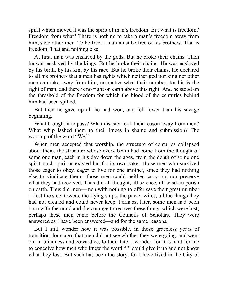spirit which moved it was the spirit of man's freedom. But what is freedom? Freedom from what? There is nothing to take a man's freedom away from him, save other men. To be free, a man must be free of his brothers. That is freedom. That and nothing else.

At first, man was enslaved by the gods. But he broke their chains. Then he was enslaved by the kings. But he broke their chains. He was enslaved by his birth, by his kin, by his race. But he broke their chains. He declared to all his brothers that a man has rights which neither god nor king nor other men can take away from him, no matter what their number, for his is the right of man, and there is no right on earth above this right. And he stood on the threshold of the freedom for which the blood of the centuries behind him had been spilled.

But then he gave up all he had won, and fell lower than his savage beginning.

What brought it to pass? What disaster took their reason away from men? What whip lashed them to their knees in shame and submission? The worship of the word "We."

When men accepted that worship, the structure of centuries collapsed about them, the structure whose every beam had come from the thought of some one man, each in his day down the ages, from the depth of some one spirit, such spirit as existed but for its own sake. Those men who survived those eager to obey, eager to live for one another, since they had nothing else to vindicate them—those men could neither carry on, nor preserve what they had received. Thus did all thought, all science, all wisdom perish on earth. Thus did men—men with nothing to offer save their great number —lost the steel towers, the flying ships, the power wires, all the things they had not created and could never keep. Perhaps, later, some men had been born with the mind and the courage to recover these things which were lost; perhaps these men came before the Councils of Scholars. They were answered as I have been answered—and for the same reasons.

But I still wonder how it was possible, in those graceless years of transition, long ago, that men did not see whither they were going, and went on, in blindness and cowardice, to their fate. I wonder, for it is hard for me to conceive how men who knew the word "I" could give it up and not know what they lost. But such has been the story, for I have lived in the City of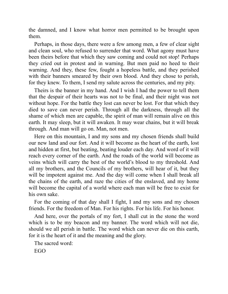the damned, and I know what horror men permitted to be brought upon them.

Perhaps, in those days, there were a few among men, a few of clear sight and clean soul, who refused to surrender that word. What agony must have been theirs before that which they saw coming and could not stop! Perhaps they cried out in protest and in warning. But men paid no heed to their warning. And they, these few, fought a hopeless battle, and they perished with their banners smeared by their own blood. And they chose to perish, for they knew. To them, I send my salute across the centuries, and my pity.

Theirs is the banner in my hand. And I wish I had the power to tell them that the despair of their hearts was not to be final, and their night was not without hope. For the battle they lost can never be lost. For that which they died to save can never perish. Through all the darkness, through all the shame of which men are capable, the spirit of man will remain alive on this earth. It may sleep, but it will awaken. It may wear chains, but it will break through. And man will go on. Man, not men.

Here on this mountain, I and my sons and my chosen friends shall build our new land and our fort. And it will become as the heart of the earth, lost and hidden at first, but beating, beating louder each day. And word of it will reach every corner of the earth. And the roads of the world will become as veins which will carry the best of the world's blood to my threshold. And all my brothers, and the Councils of my brothers, will hear of it, but they will be impotent against me. And the day will come when I shall break all the chains of the earth, and raze the cities of the enslaved, and my home will become the capital of a world where each man will be free to exist for his own sake.

For the coming of that day shall I fight, I and my sons and my chosen friends. For the freedom of Man. For his rights. For his life. For his honor.

And here, over the portals of my fort, I shall cut in the stone the word which is to be my beacon and my banner. The word which will not die, should we all perish in battle. The word which can never die on this earth, for it is the heart of it and the meaning and the glory.

The sacred word:

EGO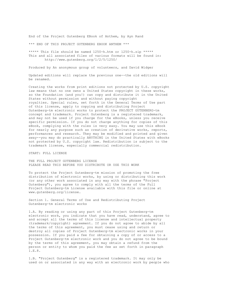End of the Project Gutenberg EBook of Anthem, by Ayn Rand

\*\*\* END OF THIS PROJECT GUTENBERG EBOOK ANTHEM \*\*\*

\*\*\*\*\* This file should be named 1250-h.htm or 1250-h.zip \*\*\*\*\* This and all associated files of various formats will be found in: http://www.gutenberg.org/1/2/5/1250/

Produced by An anonymous group of volunteers, and David Widger

Updated editions will replace the previous one--the old editions will be renamed.

Creating the works from print editions not protected by U.S. copyright law means that no one owns a United States copyright in these works, so the Foundation (and you!) can copy and distribute it in the United States without permission and without paying copyright royalties. Special rules, set forth in the General Terms of Use part of this license, apply to copying and distributing Project Gutenberg-tm electronic works to protect the PROJECT GUTENBERG-tm concept and trademark. Project Gutenberg is a registered trademark, and may not be used if you charge for the eBooks, unless you receive specific permission. If you do not charge anything for copies of this eBook, complying with the rules is very easy. You may use this eBook for nearly any purpose such as creation of derivative works, reports, performances and research. They may be modified and printed and given away--you may do practically ANYTHING in the United States with eBooks not protected by U.S. copyright law. Redistribution is subject to the trademark license, especially commercial redistribution.

START: FULL LICENSE

THE FULL PROJECT GUTENBERG LICENSE PLEASE READ THIS BEFORE YOU DISTRIBUTE OR USE THIS WORK

To protect the Project Gutenberg-tm mission of promoting the free distribution of electronic works, by using or distributing this work (or any other work associated in any way with the phrase "Project Gutenberg"), you agree to comply with all the terms of the Full Project Gutenberg-tm License available with this file or online at www.gutenberg.org/license.

Section 1. General Terms of Use and Redistributing Project Gutenberg-tm electronic works

1.A. By reading or using any part of this Project Gutenberg-tm electronic work, you indicate that you have read, understand, agree to and accept all the terms of this license and intellectual property (trademark/copyright) agreement. If you do not agree to abide by all the terms of this agreement, you must cease using and return or destroy all copies of Project Gutenberg-tm electronic works in your possession. If you paid a fee for obtaining a copy of or access to a Project Gutenberg-tm electronic work and you do not agree to be bound by the terms of this agreement, you may obtain a refund from the person or entity to whom you paid the fee as set forth in paragraph 1.E.8.

1.B. "Project Gutenberg" is a registered trademark. It may only be used on or associated in any way with an electronic work by people who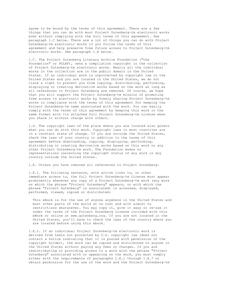agree to be bound by the terms of this agreement. There are a few things that you can do with most Project Gutenberg-tm electronic works even without complying with the full terms of this agreement. See paragraph 1.C below. There are a lot of things you can do with Project Gutenberg-tm electronic works if you follow the terms of this agreement and help preserve free future access to Project Gutenberg-tm electronic works. See paragraph 1.E below.

1.C. The Project Gutenberg Literary Archive Foundation ("the Foundation" or PGLAF), owns a compilation copyright in the collection of Project Gutenberg-tm electronic works. Nearly all the individual works in the collection are in the public domain in the United States. If an individual work is unprotected by copyright law in the United States and you are located in the United States, we do not claim a right to prevent you from copying, distributing, performing, displaying or creating derivative works based on the work as long as all references to Project Gutenberg are removed. Of course, we hope that you will support the Project Gutenberg-tm mission of promoting free access to electronic works by freely sharing Project Gutenberg-tm works in compliance with the terms of this agreement for keeping the Project Gutenberg-tm name associated with the work. You can easily comply with the terms of this agreement by keeping this work in the same format with its attached full Project Gutenberg-tm License when you share it without charge with others.

1.D. The copyright laws of the place where you are located also govern what you can do with this work. Copyright laws in most countries are in a constant state of change. If you are outside the United States, check the laws of your country in addition to the terms of this agreement before downloading, copying, displaying, performing, distributing or creating derivative works based on this work or any other Project Gutenberg-tm work. The Foundation makes no representations concerning the copyright status of any work in any country outside the United States.

1.E. Unless you have removed all references to Project Gutenberg:

1.E.1. The following sentence, with active links to, or other immediate access to, the full Project Gutenberg-tm License must appear prominently whenever any copy of a Project Gutenberg-tm work (any work on which the phrase "Project Gutenberg" appears, or with which the phrase "Project Gutenberg" is associated) is accessed, displayed, performed, viewed, copied or distributed:

 This eBook is for the use of anyone anywhere in the United States and most other parts of the world at no cost and with almost no restrictions whatsoever. You may copy it, give it away or re-use it under the terms of the Project Gutenberg License included with this eBook or online at www.gutenberg.org. If you are not located in the United States, you'll have to check the laws of the country where you are located before using this ebook.

1.E.2. If an individual Project Gutenberg-tm electronic work is derived from texts not protected by U.S. copyright law (does not contain a notice indicating that it is posted with permission of the copyright holder), the work can be copied and distributed to anyone in the United States without paying any fees or charges. If you are redistributing or providing access to a work with the phrase "Project Gutenberg" associated with or appearing on the work, you must comply either with the requirements of paragraphs 1.E.1 through 1.E.7 or obtain permission for the use of the work and the Project Gutenberg-tm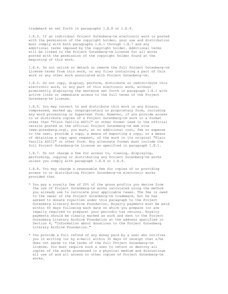trademark as set forth in paragraphs 1.E.8 or 1.E.9.

1.E.3. If an individual Project Gutenberg-tm electronic work is posted with the permission of the copyright holder, your use and distribution must comply with both paragraphs 1.E.1 through 1.E.7 and any additional terms imposed by the copyright holder. Additional terms will be linked to the Project Gutenberg-tm License for all works posted with the permission of the copyright holder found at the beginning of this work.

1.E.4. Do not unlink or detach or remove the full Project Gutenberg-tm License terms from this work, or any files containing a part of this work or any other work associated with Project Gutenberg-tm.

1.E.5. Do not copy, display, perform, distribute or redistribute this electronic work, or any part of this electronic work, without prominently displaying the sentence set forth in paragraph 1.E.1 with active links or immediate access to the full terms of the Project Gutenberg-tm License.

1.E.6. You may convert to and distribute this work in any binary, compressed, marked up, nonproprietary or proprietary form, including any word processing or hypertext form. However, if you provide access to or distribute copies of a Project Gutenberg-tm work in a format other than "Plain Vanilla ASCII" or other format used in the official version posted on the official Project Gutenberg-tm web site (www.gutenberg.org), you must, at no additional cost, fee or expense to the user, provide a copy, a means of exporting a copy, or a means of obtaining a copy upon request, of the work in its original "Plain Vanilla ASCII" or other form. Any alternate format must include the full Project Gutenberg-tm License as specified in paragraph 1.E.1.

1.E.7. Do not charge a fee for access to, viewing, displaying, performing, copying or distributing any Project Gutenberg-tm works unless you comply with paragraph 1.E.8 or 1.E.9.

1.E.8. You may charge a reasonable fee for copies of or providing access to or distributing Project Gutenberg-tm electronic works provided that

- \* You pay a royalty fee of 20% of the gross profits you derive from the use of Project Gutenberg-tm works calculated using the method you already use to calculate your applicable taxes. The fee is owed to the owner of the Project Gutenberg-tm trademark, but he has agreed to donate royalties under this paragraph to the Project Gutenberg Literary Archive Foundation. Royalty payments must be paid within 60 days following each date on which you prepare (or are legally required to prepare) your periodic tax returns. Royalty payments should be clearly marked as such and sent to the Project Gutenberg Literary Archive Foundation at the address specified in Section 4, "Information about donations to the Project Gutenberg Literary Archive Foundation."
- \* You provide a full refund of any money paid by a user who notifies you in writing (or by e-mail) within 30 days of receipt that s/he does not agree to the terms of the full Project Gutenberg-tm License. You must require such a user to return or destroy all copies of the works possessed in a physical medium and discontinue all use of and all access to other copies of Project Gutenberg-tm works.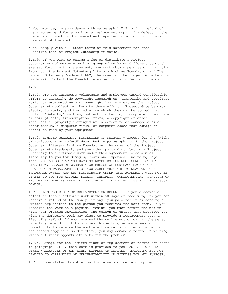- \* You provide, in accordance with paragraph 1.F.3, a full refund of any money paid for a work or a replacement copy, if a defect in the electronic work is discovered and reported to you within 90 days of receipt of the work.
- \* You comply with all other terms of this agreement for free distribution of Project Gutenberg-tm works.

1.E.9. If you wish to charge a fee or distribute a Project Gutenberg-tm electronic work or group of works on different terms than are set forth in this agreement, you must obtain permission in writing from both the Project Gutenberg Literary Archive Foundation and The Project Gutenberg Trademark LLC, the owner of the Project Gutenberg-tm trademark. Contact the Foundation as set forth in Section 3 below.

1.F.

1.F.1. Project Gutenberg volunteers and employees expend considerable effort to identify, do copyright research on, transcribe and proofread works not protected by U.S. copyright law in creating the Project Gutenberg-tm collection. Despite these efforts, Project Gutenberg-tm electronic works, and the medium on which they may be stored, may contain "Defects," such as, but not limited to, incomplete, inaccurate or corrupt data, transcription errors, a copyright or other intellectual property infringement, a defective or damaged disk or other medium, a computer virus, or computer codes that damage or cannot be read by your equipment.

1.F.2. LIMITED WARRANTY, DISCLAIMER OF DAMAGES - Except for the "Right of Replacement or Refund" described in paragraph 1.F.3, the Project Gutenberg Literary Archive Foundation, the owner of the Project Gutenberg-tm trademark, and any other party distributing a Project Gutenberg-tm electronic work under this agreement, disclaim all liability to you for damages, costs and expenses, including legal fees. YOU AGREE THAT YOU HAVE NO REMEDIES FOR NEGLIGENCE, STRICT LIABILITY, BREACH OF WARRANTY OR BREACH OF CONTRACT EXCEPT THOSE PROVIDED IN PARAGRAPH 1.F.3. YOU AGREE THAT THE FOUNDATION, THE TRADEMARK OWNER, AND ANY DISTRIBUTOR UNDER THIS AGREEMENT WILL NOT BE LIABLE TO YOU FOR ACTUAL, DIRECT, INDIRECT, CONSEQUENTIAL, PUNITIVE OR INCIDENTAL DAMAGES EVEN IF YOU GIVE NOTICE OF THE POSSIBILITY OF SUCH DAMAGE.

1.F.3. LIMITED RIGHT OF REPLACEMENT OR REFUND - If you discover a defect in this electronic work within 90 days of receiving it, you can receive a refund of the money (if any) you paid for it by sending a written explanation to the person you received the work from. If you received the work on a physical medium, you must return the medium with your written explanation. The person or entity that provided you with the defective work may elect to provide a replacement copy in lieu of a refund. If you received the work electronically, the person or entity providing it to you may choose to give you a second opportunity to receive the work electronically in lieu of a refund. If the second copy is also defective, you may demand a refund in writing without further opportunities to fix the problem.

1.F.4. Except for the limited right of replacement or refund set forth in paragraph 1.F.3, this work is provided to you 'AS-IS', WITH NO OTHER WARRANTIES OF ANY KIND, EXPRESS OR IMPLIED, INCLUDING BUT NOT LIMITED TO WARRANTIES OF MERCHANTABILITY OR FITNESS FOR ANY PURPOSE.

1.F.5. Some states do not allow disclaimers of certain implied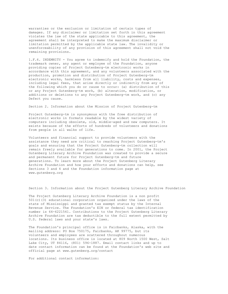warranties or the exclusion or limitation of certain types of damages. If any disclaimer or limitation set forth in this agreement violates the law of the state applicable to this agreement, the agreement shall be interpreted to make the maximum disclaimer or limitation permitted by the applicable state law. The invalidity or unenforceability of any provision of this agreement shall not void the remaining provisions.

1.F.6. INDEMNITY - You agree to indemnify and hold the Foundation, the trademark owner, any agent or employee of the Foundation, anyone providing copies of Project Gutenberg-tm electronic works in accordance with this agreement, and any volunteers associated with the production, promotion and distribution of Project Gutenberg-tm electronic works, harmless from all liability, costs and expenses, including legal fees, that arise directly or indirectly from any of the following which you do or cause to occur: (a) distribution of this or any Project Gutenberg-tm work, (b) alteration, modification, or additions or deletions to any Project Gutenberg-tm work, and (c) any Defect you cause.

Section 2. Information about the Mission of Project Gutenberg-tm

Project Gutenberg-tm is synonymous with the free distribution of electronic works in formats readable by the widest variety of computers including obsolete, old, middle-aged and new computers. It exists because of the efforts of hundreds of volunteers and donations from people in all walks of life.

Volunteers and financial support to provide volunteers with the assistance they need are critical to reaching Project Gutenberg-tm's goals and ensuring that the Project Gutenberg-tm collection will remain freely available for generations to come. In 2001, the Project Gutenberg Literary Archive Foundation was created to provide a secure and permanent future for Project Gutenberg-tm and future generations. To learn more about the Project Gutenberg Literary Archive Foundation and how your efforts and donations can help, see Sections 3 and 4 and the Foundation information page at www.gutenberg.org

Section 3. Information about the Project Gutenberg Literary Archive Foundation

The Project Gutenberg Literary Archive Foundation is a non profit 501(c)(3) educational corporation organized under the laws of the state of Mississippi and granted tax exempt status by the Internal Revenue Service. The Foundation's EIN or federal tax identification number is 64-6221541. Contributions to the Project Gutenberg Literary Archive Foundation are tax deductible to the full extent permitted by U.S. federal laws and your state's laws.

The Foundation's principal office is in Fairbanks, Alaska, with the mailing address: PO Box 750175, Fairbanks, AK 99775, but its volunteers and employees are scattered throughout numerous locations. Its business office is located at 809 North 1500 West, Salt Lake City, UT 84116, (801) 596-1887. Email contact links and up to date contact information can be found at the Foundation's web site and official page at www.gutenberg.org/contact

For additional contact information: